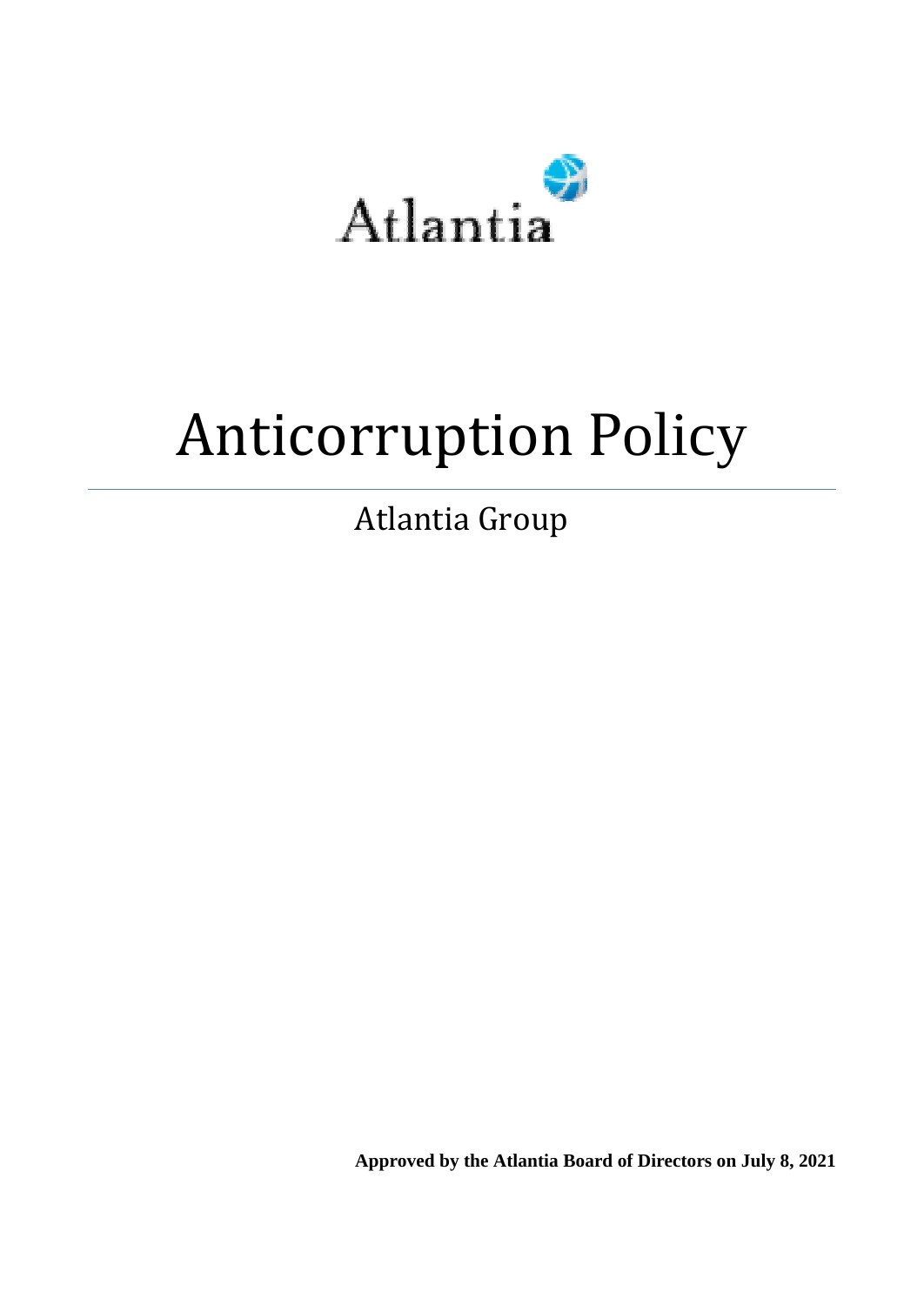

# Anticorruption Policy

Atlantia Group

**Approved by the Atlantia Board of Directors on July 8, 2021**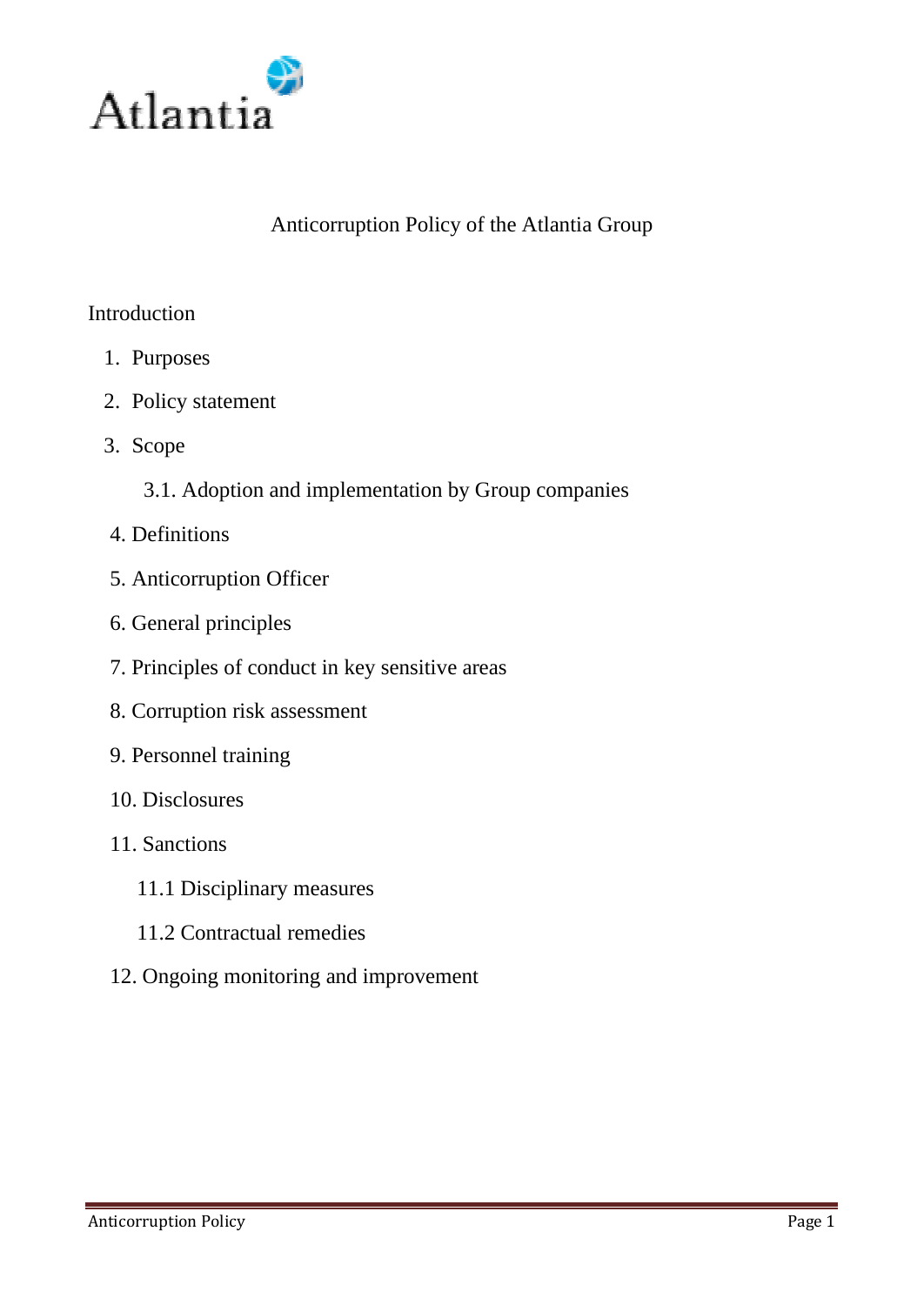

## Anticorruption Policy of the Atlantia Group

#### **Introduction**

- 1. Purposes
- 2. Policy statement
- 3. Scope
	- 3.1. Adoption and implementation by Group companies
- 4. Definitions
- 5. Anticorruption Officer
- 6. General principles
- 7. Principles of conduct in key sensitive areas
- 8. Corruption risk assessment
- 9. Personnel training
- 10. Disclosures
- 11. Sanctions
	- 11.1 Disciplinary measures
	- 11.2 Contractual remedies
- 12. Ongoing monitoring and improvement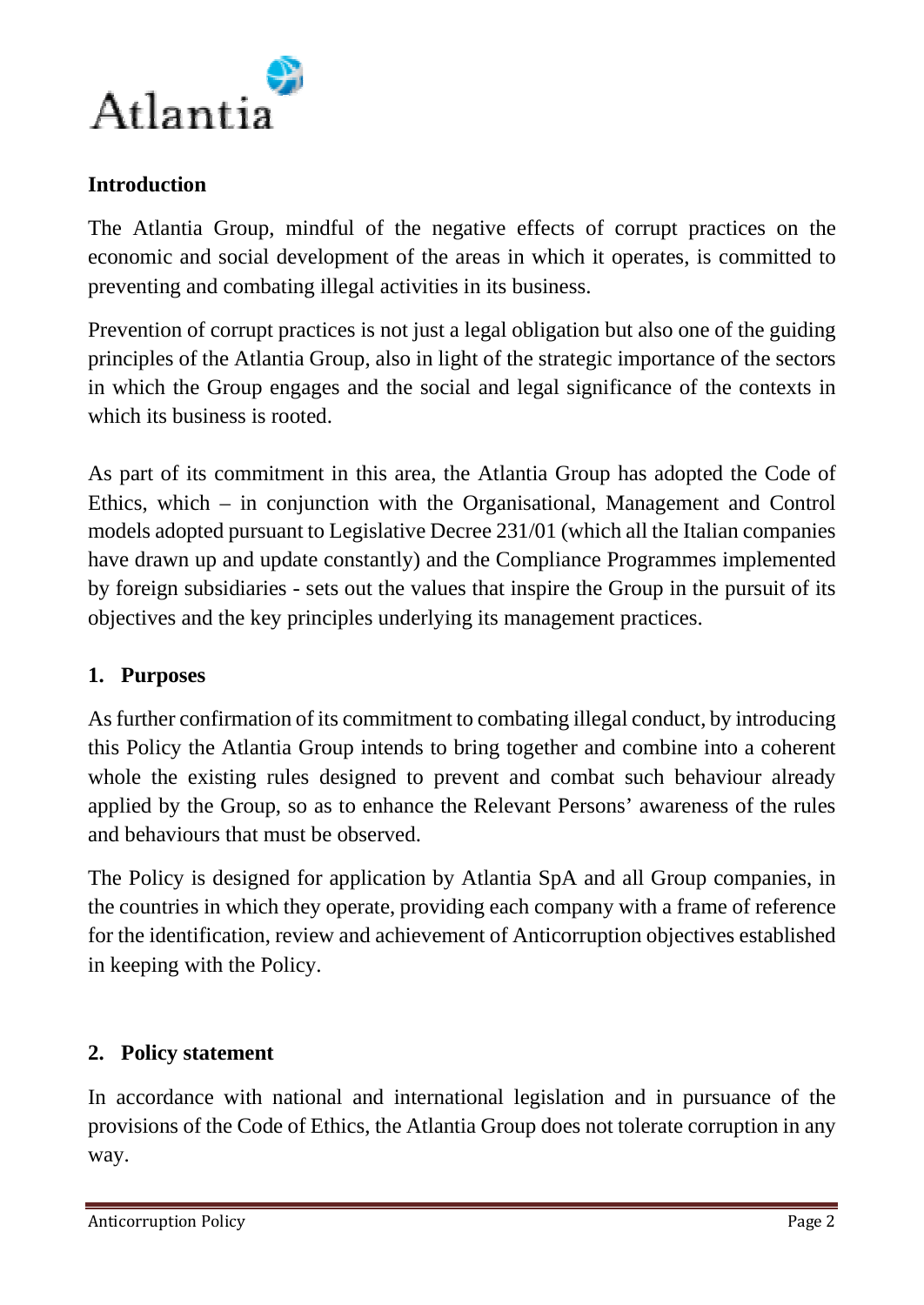

## **Introduction**

The Atlantia Group, mindful of the negative effects of corrupt practices on the economic and social development of the areas in which it operates, is committed to preventing and combating illegal activities in its business.

Prevention of corrupt practices is not just a legal obligation but also one of the guiding principles of the Atlantia Group, also in light of the strategic importance of the sectors in which the Group engages and the social and legal significance of the contexts in which its business is rooted.

As part of its commitment in this area, the Atlantia Group has adopted the Code of Ethics, which – in conjunction with the Organisational, Management and Control models adopted pursuant to Legislative Decree 231/01 (which all the Italian companies have drawn up and update constantly) and the Compliance Programmes implemented by foreign subsidiaries - sets out the values that inspire the Group in the pursuit of its objectives and the key principles underlying its management practices.

## **1. Purposes**

As further confirmation of its commitment to combating illegal conduct, by introducing this Policy the Atlantia Group intends to bring together and combine into a coherent whole the existing rules designed to prevent and combat such behaviour already applied by the Group, so as to enhance the Relevant Persons' awareness of the rules and behaviours that must be observed.

The Policy is designed for application by Atlantia SpA and all Group companies, in the countries in which they operate, providing each company with a frame of reference for the identification, review and achievement of Anticorruption objectives established in keeping with the Policy.

#### **2. Policy statement**

In accordance with national and international legislation and in pursuance of the provisions of the Code of Ethics, the Atlantia Group does not tolerate corruption in any way.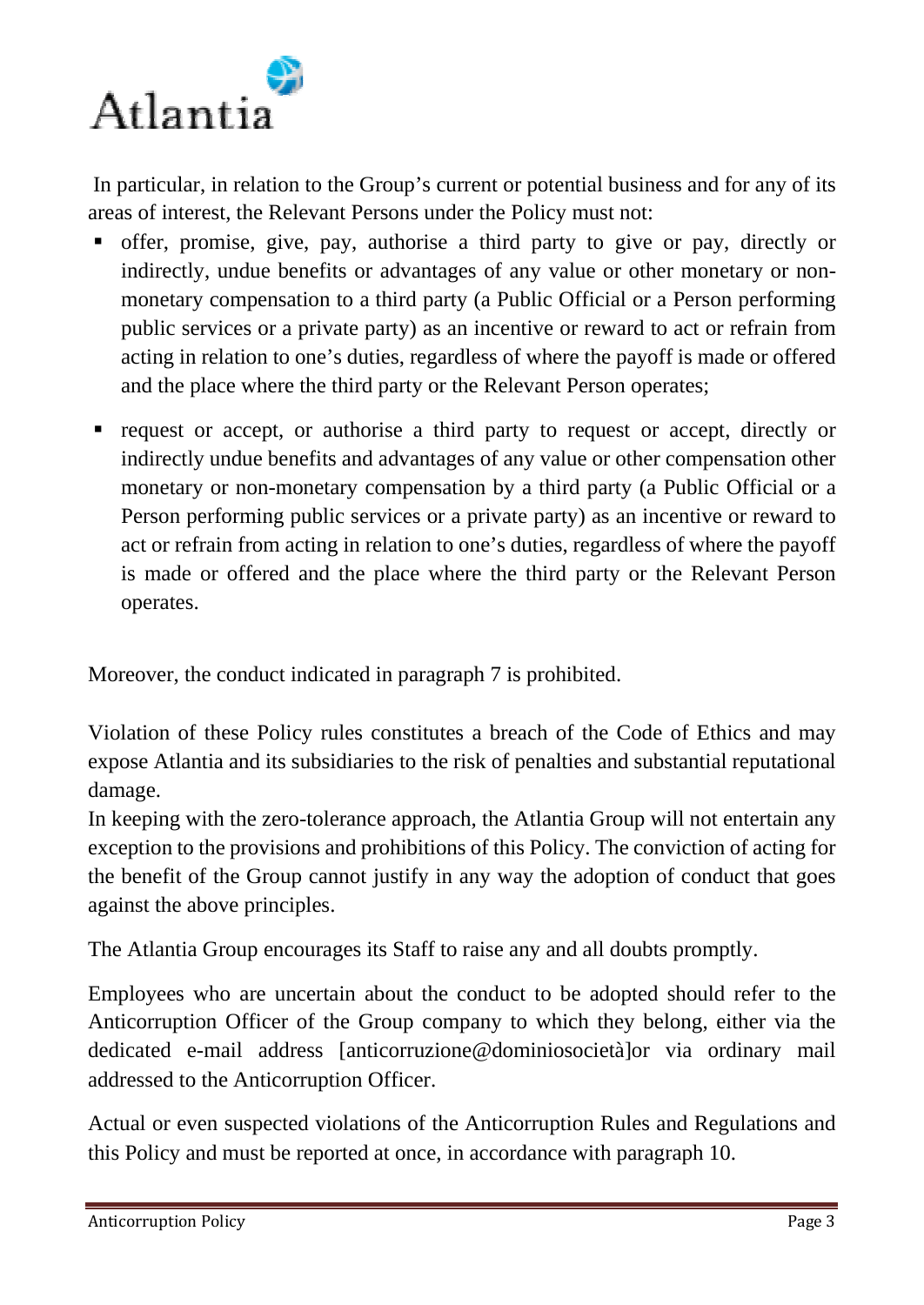

In particular, in relation to the Group's current or potential business and for any of its areas of interest, the Relevant Persons under the Policy must not:

- offer, promise, give, pay, authorise a third party to give or pay, directly or indirectly, undue benefits or advantages of any value or other monetary or nonmonetary compensation to a third party (a Public Official or a Person performing public services or a private party) as an incentive or reward to act or refrain from acting in relation to one's duties, regardless of where the payoff is made or offered and the place where the third party or the Relevant Person operates;
- request or accept, or authorise a third party to request or accept, directly or indirectly undue benefits and advantages of any value or other compensation other monetary or non-monetary compensation by a third party (a Public Official or a Person performing public services or a private party) as an incentive or reward to act or refrain from acting in relation to one's duties, regardless of where the payoff is made or offered and the place where the third party or the Relevant Person operates.

Moreover, the conduct indicated in paragraph 7 is prohibited.

Violation of these Policy rules constitutes a breach of the Code of Ethics and may expose Atlantia and its subsidiaries to the risk of penalties and substantial reputational damage.

In keeping with the zero-tolerance approach, the Atlantia Group will not entertain any exception to the provisions and prohibitions of this Policy. The conviction of acting for the benefit of the Group cannot justify in any way the adoption of conduct that goes against the above principles.

The Atlantia Group encourages its Staff to raise any and all doubts promptly.

Employees who are uncertain about the conduct to be adopted should refer to the Anticorruption Officer of the Group company to which they belong, either via the dedicated e-mail address [anticorruzione@dominiosocietà]or via ordinary mail addressed to the Anticorruption Officer.

Actual or even suspected violations of the Anticorruption Rules and Regulations and this Policy and must be reported at once, in accordance with paragraph 10.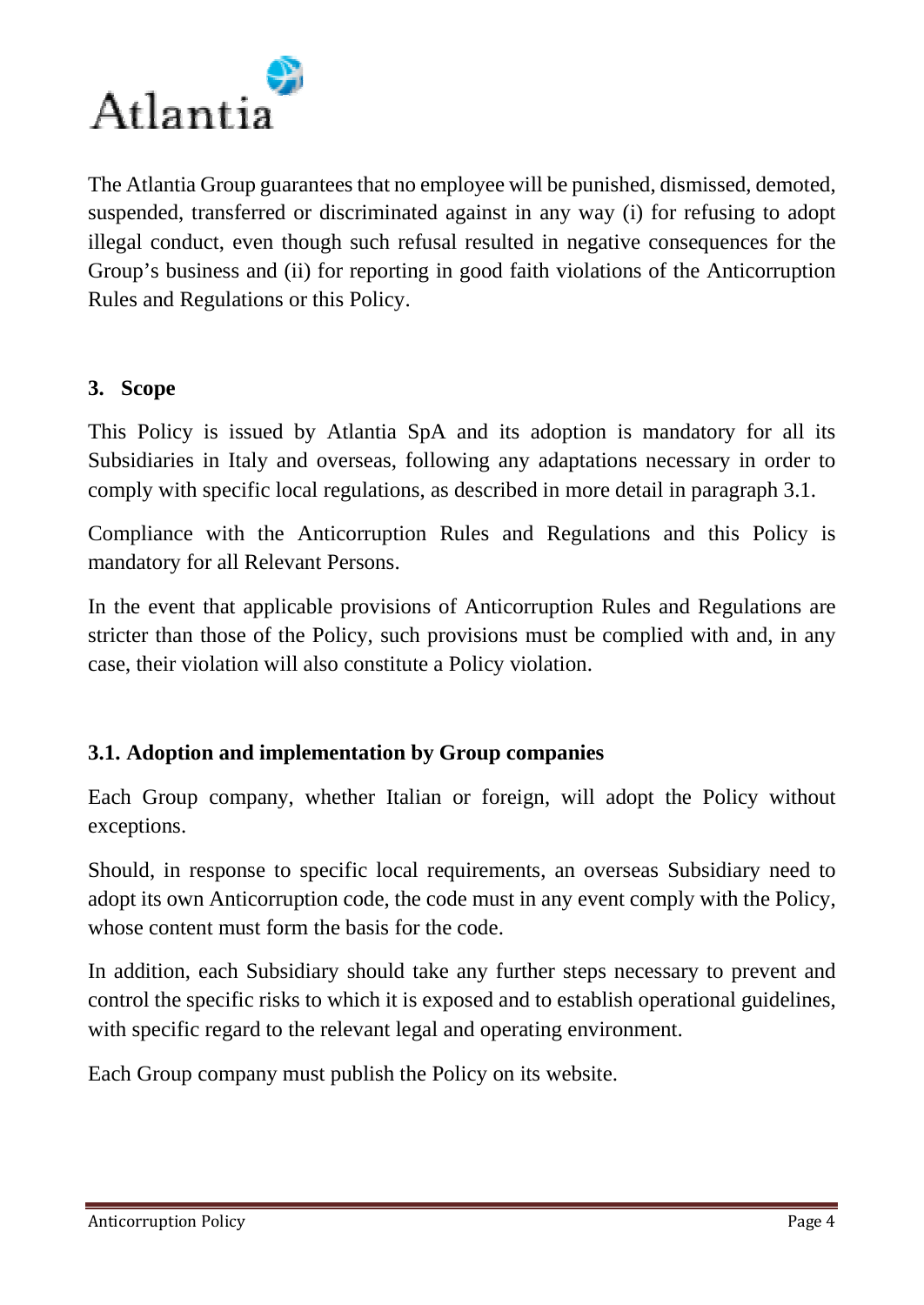

The Atlantia Group guarantees that no employee will be punished, dismissed, demoted, suspended, transferred or discriminated against in any way (i) for refusing to adopt illegal conduct, even though such refusal resulted in negative consequences for the Group's business and (ii) for reporting in good faith violations of the Anticorruption Rules and Regulations or this Policy.

#### **3. Scope**

This Policy is issued by Atlantia SpA and its adoption is mandatory for all its Subsidiaries in Italy and overseas, following any adaptations necessary in order to comply with specific local regulations, as described in more detail in paragraph 3.1.

Compliance with the Anticorruption Rules and Regulations and this Policy is mandatory for all Relevant Persons.

In the event that applicable provisions of Anticorruption Rules and Regulations are stricter than those of the Policy, such provisions must be complied with and, in any case, their violation will also constitute a Policy violation.

## **3.1. Adoption and implementation by Group companies**

Each Group company, whether Italian or foreign, will adopt the Policy without exceptions.

Should, in response to specific local requirements, an overseas Subsidiary need to adopt its own Anticorruption code, the code must in any event comply with the Policy, whose content must form the basis for the code.

In addition, each Subsidiary should take any further steps necessary to prevent and control the specific risks to which it is exposed and to establish operational guidelines, with specific regard to the relevant legal and operating environment.

Each Group company must publish the Policy on its website.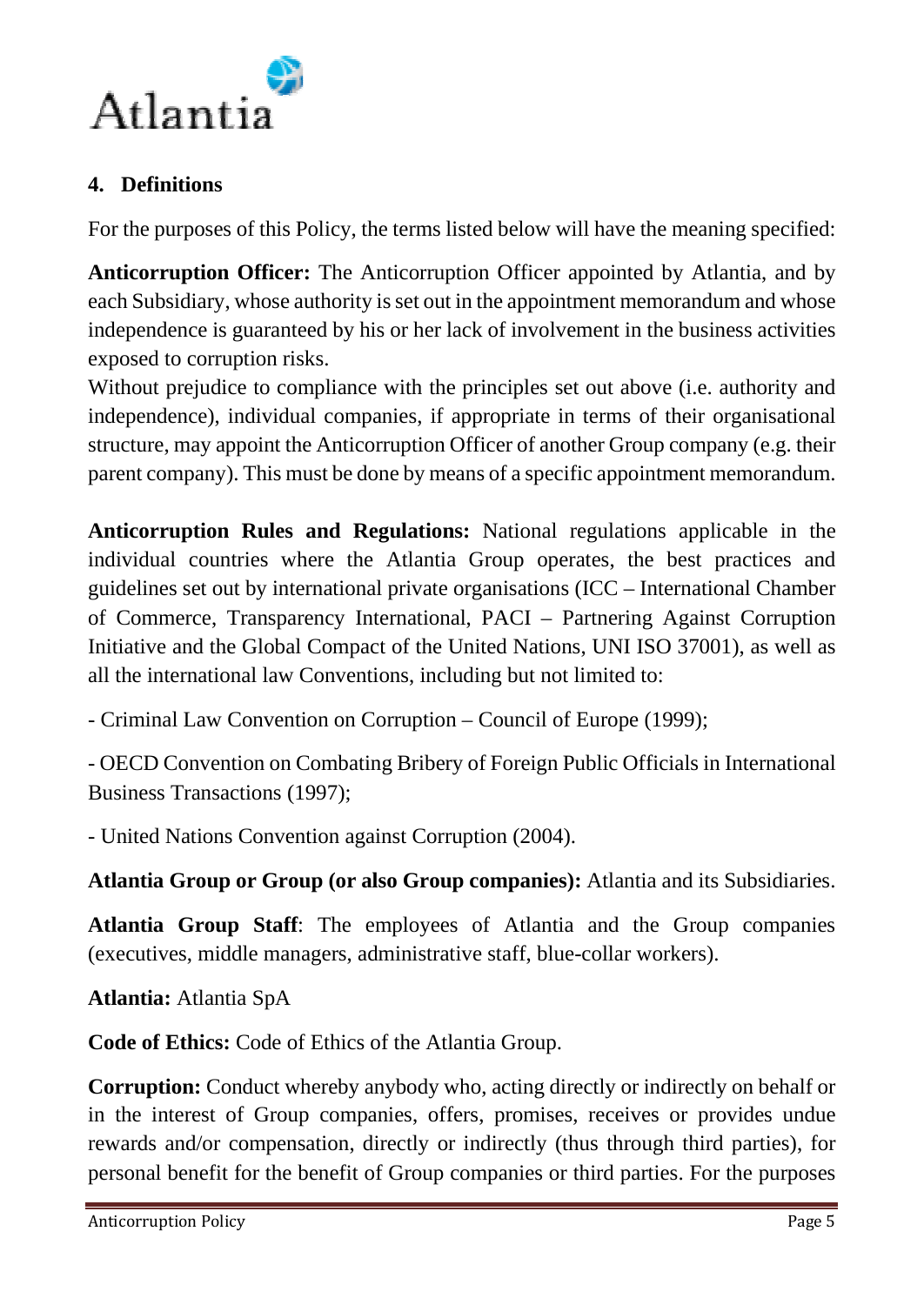

## **4. Definitions**

For the purposes of this Policy, the terms listed below will have the meaning specified:

**Anticorruption Officer:** The Anticorruption Officer appointed by Atlantia, and by each Subsidiary, whose authority is set out in the appointment memorandum and whose independence is guaranteed by his or her lack of involvement in the business activities exposed to corruption risks.

Without prejudice to compliance with the principles set out above (i.e. authority and independence), individual companies, if appropriate in terms of their organisational structure, may appoint the Anticorruption Officer of another Group company (e.g. their parent company). This must be done by means of a specific appointment memorandum.

**Anticorruption Rules and Regulations:** National regulations applicable in the individual countries where the Atlantia Group operates, the best practices and guidelines set out by international private organisations (ICC – International Chamber of Commerce, Transparency International, PACI – Partnering Against Corruption Initiative and the Global Compact of the United Nations, UNI ISO 37001), as well as all the international law Conventions, including but not limited to:

- Criminal Law Convention on Corruption – Council of Europe (1999);

- OECD Convention on Combating Bribery of Foreign Public Officials in International Business Transactions (1997);

- United Nations Convention against Corruption (2004).

**Atlantia Group or Group (or also Group companies):** Atlantia and its Subsidiaries.

**Atlantia Group Staff**: The employees of Atlantia and the Group companies (executives, middle managers, administrative staff, blue-collar workers).

**Atlantia:** Atlantia SpA

**Code of Ethics:** Code of Ethics of the Atlantia Group.

**Corruption:** Conduct whereby anybody who, acting directly or indirectly on behalf or in the interest of Group companies, offers, promises, receives or provides undue rewards and/or compensation, directly or indirectly (thus through third parties), for personal benefit for the benefit of Group companies or third parties. For the purposes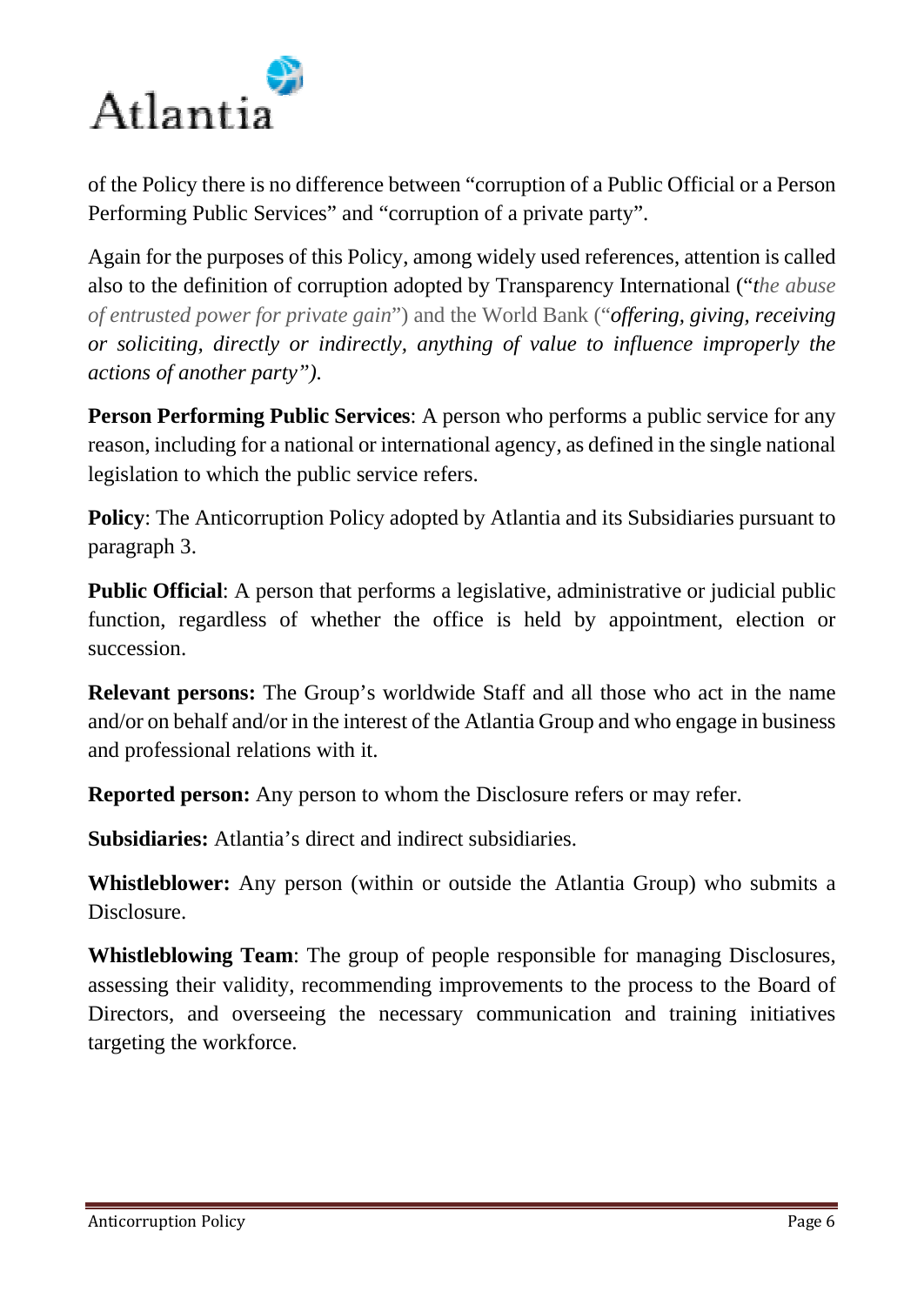

of the Policy there is no difference between "corruption of a Public Official or a Person Performing Public Services" and "corruption of a private party".

Again for the purposes of this Policy, among widely used references, attention is called also to the definition of corruption adopted by Transparency International ("*the abuse of entrusted power for private gain*") and the World Bank ("*offering, giving, receiving or soliciting, directly or indirectly, anything of value to influence improperly the actions of another party").*

**Person Performing Public Services**: A person who performs a public service for any reason, including for a national or international agency, as defined in the single national legislation to which the public service refers.

**Policy:** The Anticorruption Policy adopted by Atlantia and its Subsidiaries pursuant to paragraph 3.

**Public Official**: A person that performs a legislative, administrative or judicial public function, regardless of whether the office is held by appointment, election or succession.

**Relevant persons:** The Group's worldwide Staff and all those who act in the name and/or on behalf and/or in the interest of the Atlantia Group and who engage in business and professional relations with it.

**Reported person:** Any person to whom the Disclosure refers or may refer.

**Subsidiaries:** Atlantia's direct and indirect subsidiaries.

**Whistleblower:** Any person (within or outside the Atlantia Group) who submits a Disclosure.

**Whistleblowing Team**: The group of people responsible for managing Disclosures, assessing their validity, recommending improvements to the process to the Board of Directors, and overseeing the necessary communication and training initiatives targeting the workforce.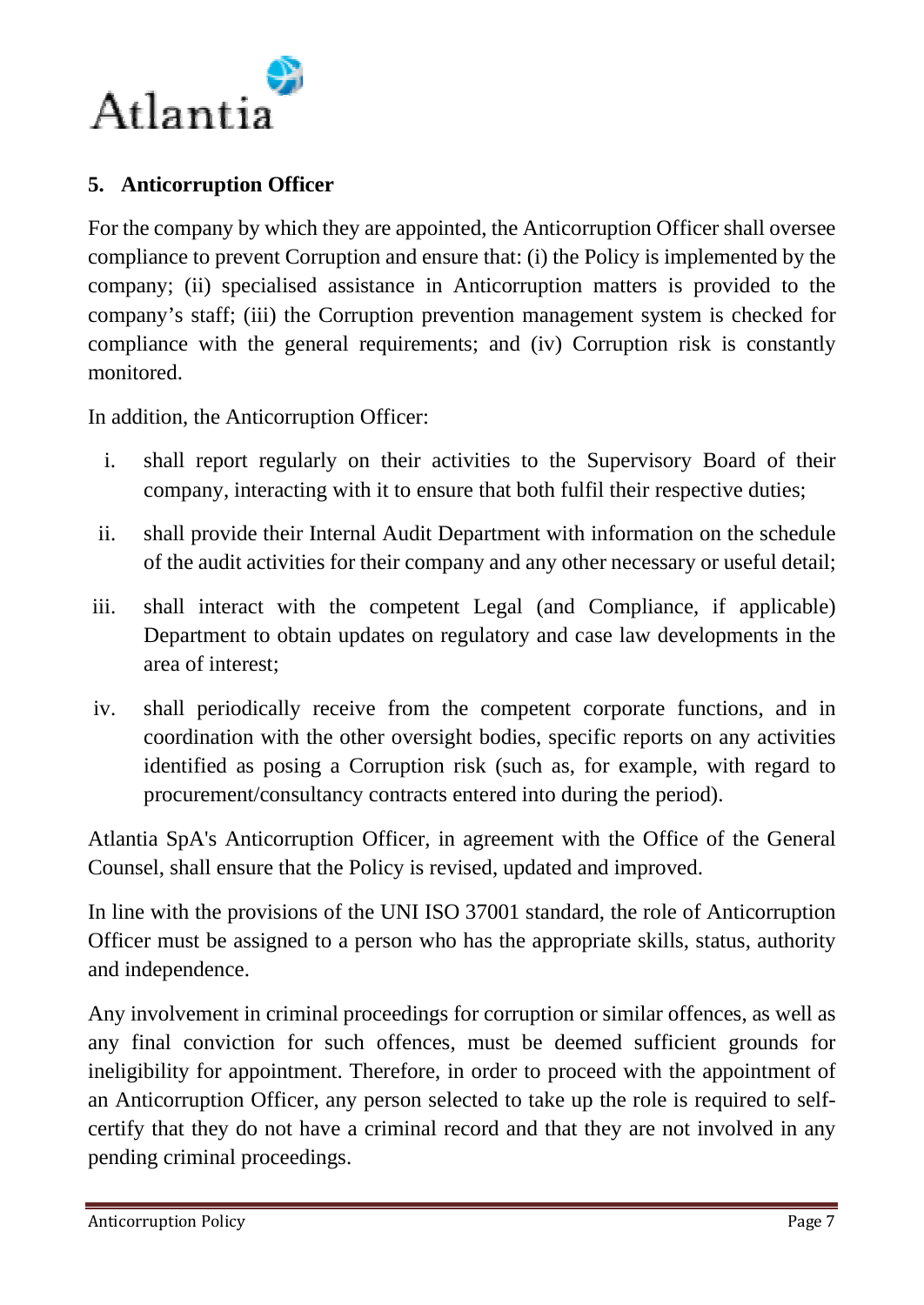

## **5. Anticorruption Officer**

For the company by which they are appointed, the Anticorruption Officer shall oversee compliance to prevent Corruption and ensure that: (i) the Policy is implemented by the company; (ii) specialised assistance in Anticorruption matters is provided to the company's staff; (iii) the Corruption prevention management system is checked for compliance with the general requirements; and (iv) Corruption risk is constantly monitored.

In addition, the Anticorruption Officer:

- i. shall report regularly on their activities to the Supervisory Board of their company, interacting with it to ensure that both fulfil their respective duties;
- ii. shall provide their Internal Audit Department with information on the schedule of the audit activities for their company and any other necessary or useful detail;
- iii. shall interact with the competent Legal (and Compliance, if applicable) Department to obtain updates on regulatory and case law developments in the area of interest;
- iv. shall periodically receive from the competent corporate functions, and in coordination with the other oversight bodies, specific reports on any activities identified as posing a Corruption risk (such as, for example, with regard to procurement/consultancy contracts entered into during the period).

Atlantia SpA's Anticorruption Officer, in agreement with the Office of the General Counsel, shall ensure that the Policy is revised, updated and improved.

In line with the provisions of the UNI ISO 37001 standard, the role of Anticorruption Officer must be assigned to a person who has the appropriate skills, status, authority and independence.

Any involvement in criminal proceedings for corruption or similar offences, as well as any final conviction for such offences, must be deemed sufficient grounds for ineligibility for appointment. Therefore, in order to proceed with the appointment of an Anticorruption Officer, any person selected to take up the role is required to selfcertify that they do not have a criminal record and that they are not involved in any pending criminal proceedings.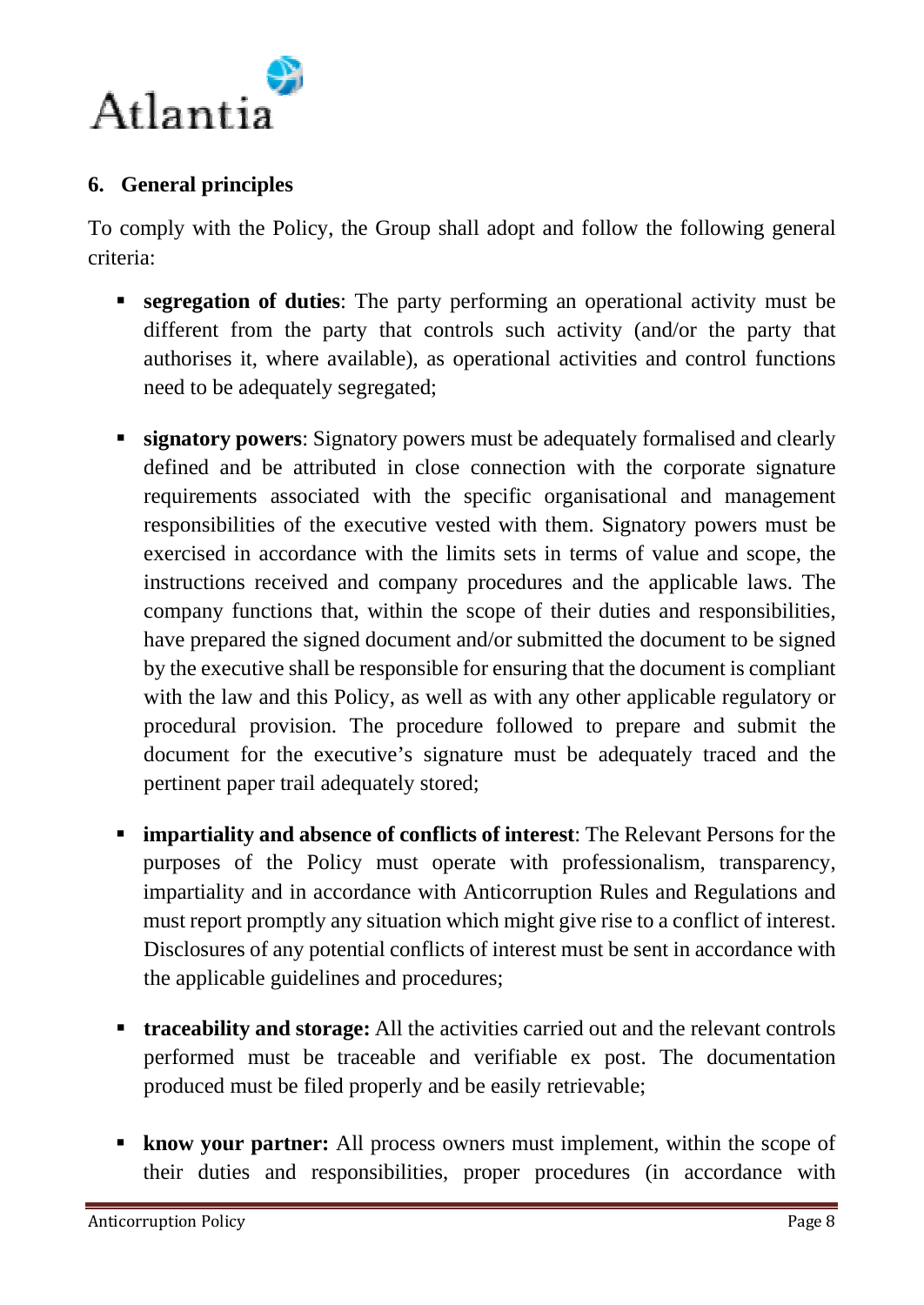

## **6. General principles**

To comply with the Policy, the Group shall adopt and follow the following general criteria:

- **segregation of duties**: The party performing an operational activity must be different from the party that controls such activity (and/or the party that authorises it, where available), as operational activities and control functions need to be adequately segregated;
- **signatory powers:** Signatory powers must be adequately formalised and clearly defined and be attributed in close connection with the corporate signature requirements associated with the specific organisational and management responsibilities of the executive vested with them. Signatory powers must be exercised in accordance with the limits sets in terms of value and scope, the instructions received and company procedures and the applicable laws. The company functions that, within the scope of their duties and responsibilities, have prepared the signed document and/or submitted the document to be signed by the executive shall be responsible for ensuring that the document is compliant with the law and this Policy, as well as with any other applicable regulatory or procedural provision. The procedure followed to prepare and submit the document for the executive's signature must be adequately traced and the pertinent paper trail adequately stored;
- **impartiality and absence of conflicts of interest**: The Relevant Persons for the purposes of the Policy must operate with professionalism, transparency, impartiality and in accordance with Anticorruption Rules and Regulations and must report promptly any situation which might give rise to a conflict of interest. Disclosures of any potential conflicts of interest must be sent in accordance with the applicable guidelines and procedures;
- **traceability and storage:** All the activities carried out and the relevant controls performed must be traceable and verifiable ex post. The documentation produced must be filed properly and be easily retrievable;
- **know your partner:** All process owners must implement, within the scope of their duties and responsibilities, proper procedures (in accordance with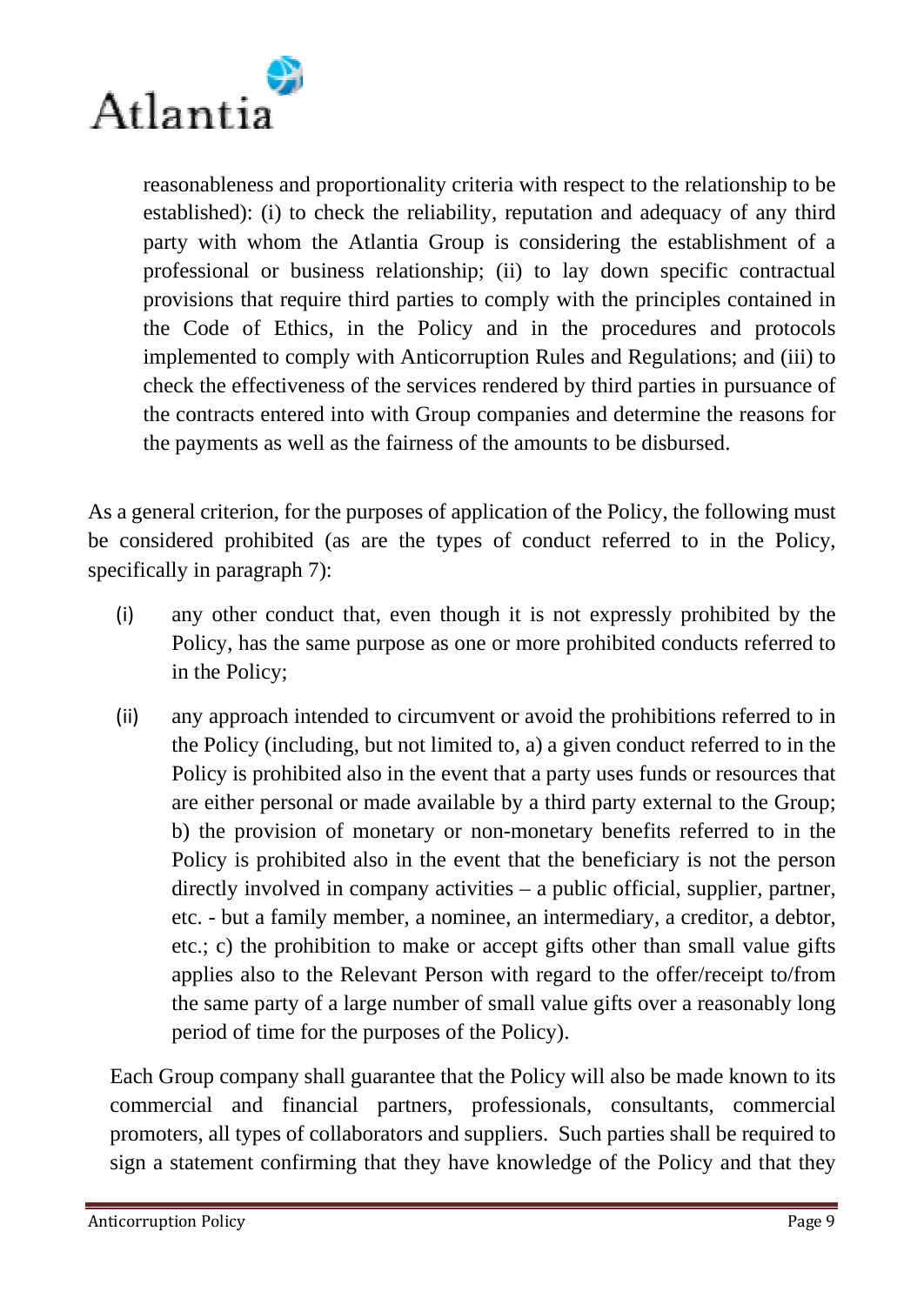

reasonableness and proportionality criteria with respect to the relationship to be established): (i) to check the reliability, reputation and adequacy of any third party with whom the Atlantia Group is considering the establishment of a professional or business relationship; (ii) to lay down specific contractual provisions that require third parties to comply with the principles contained in the Code of Ethics, in the Policy and in the procedures and protocols implemented to comply with Anticorruption Rules and Regulations; and (iii) to check the effectiveness of the services rendered by third parties in pursuance of the contracts entered into with Group companies and determine the reasons for the payments as well as the fairness of the amounts to be disbursed.

As a general criterion, for the purposes of application of the Policy, the following must be considered prohibited (as are the types of conduct referred to in the Policy, specifically in paragraph 7):

- (i) any other conduct that, even though it is not expressly prohibited by the Policy, has the same purpose as one or more prohibited conducts referred to in the Policy;
- (ii) any approach intended to circumvent or avoid the prohibitions referred to in the Policy (including, but not limited to, a) a given conduct referred to in the Policy is prohibited also in the event that a party uses funds or resources that are either personal or made available by a third party external to the Group; b) the provision of monetary or non-monetary benefits referred to in the Policy is prohibited also in the event that the beneficiary is not the person directly involved in company activities – a public official, supplier, partner, etc. - but a family member, a nominee, an intermediary, a creditor, a debtor, etc.; c) the prohibition to make or accept gifts other than small value gifts applies also to the Relevant Person with regard to the offer/receipt to/from the same party of a large number of small value gifts over a reasonably long period of time for the purposes of the Policy).

Each Group company shall guarantee that the Policy will also be made known to its commercial and financial partners, professionals, consultants, commercial promoters, all types of collaborators and suppliers. Such parties shall be required to sign a statement confirming that they have knowledge of the Policy and that they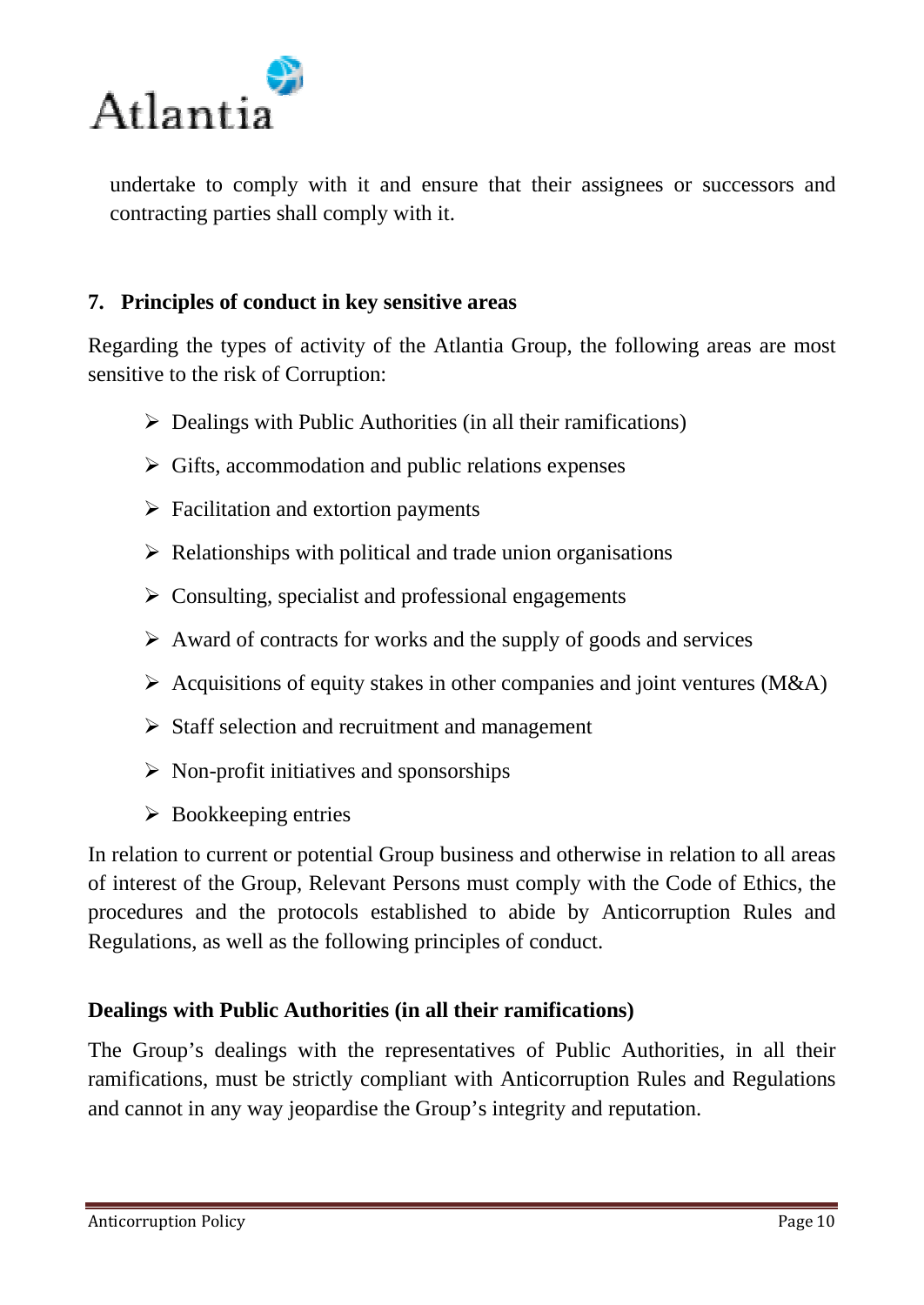

undertake to comply with it and ensure that their assignees or successors and contracting parties shall comply with it.

## **7. Principles of conduct in key sensitive areas**

Regarding the types of activity of the Atlantia Group, the following areas are most sensitive to the risk of Corruption:

- $\triangleright$  Dealings with Public Authorities (in all their ramifications)
- $\triangleright$  Gifts, accommodation and public relations expenses
- $\triangleright$  Facilitation and extortion payments
- $\triangleright$  Relationships with political and trade union organisations
- $\triangleright$  Consulting, specialist and professional engagements
- $\triangleright$  Award of contracts for works and the supply of goods and services
- $\triangleright$  Acquisitions of equity stakes in other companies and joint ventures (M&A)
- $\triangleright$  Staff selection and recruitment and management
- $\triangleright$  Non-profit initiatives and sponsorships
- $\triangleright$  Bookkeeping entries

In relation to current or potential Group business and otherwise in relation to all areas of interest of the Group, Relevant Persons must comply with the Code of Ethics, the procedures and the protocols established to abide by Anticorruption Rules and Regulations, as well as the following principles of conduct.

#### **Dealings with Public Authorities (in all their ramifications)**

The Group's dealings with the representatives of Public Authorities, in all their ramifications, must be strictly compliant with Anticorruption Rules and Regulations and cannot in any way jeopardise the Group's integrity and reputation.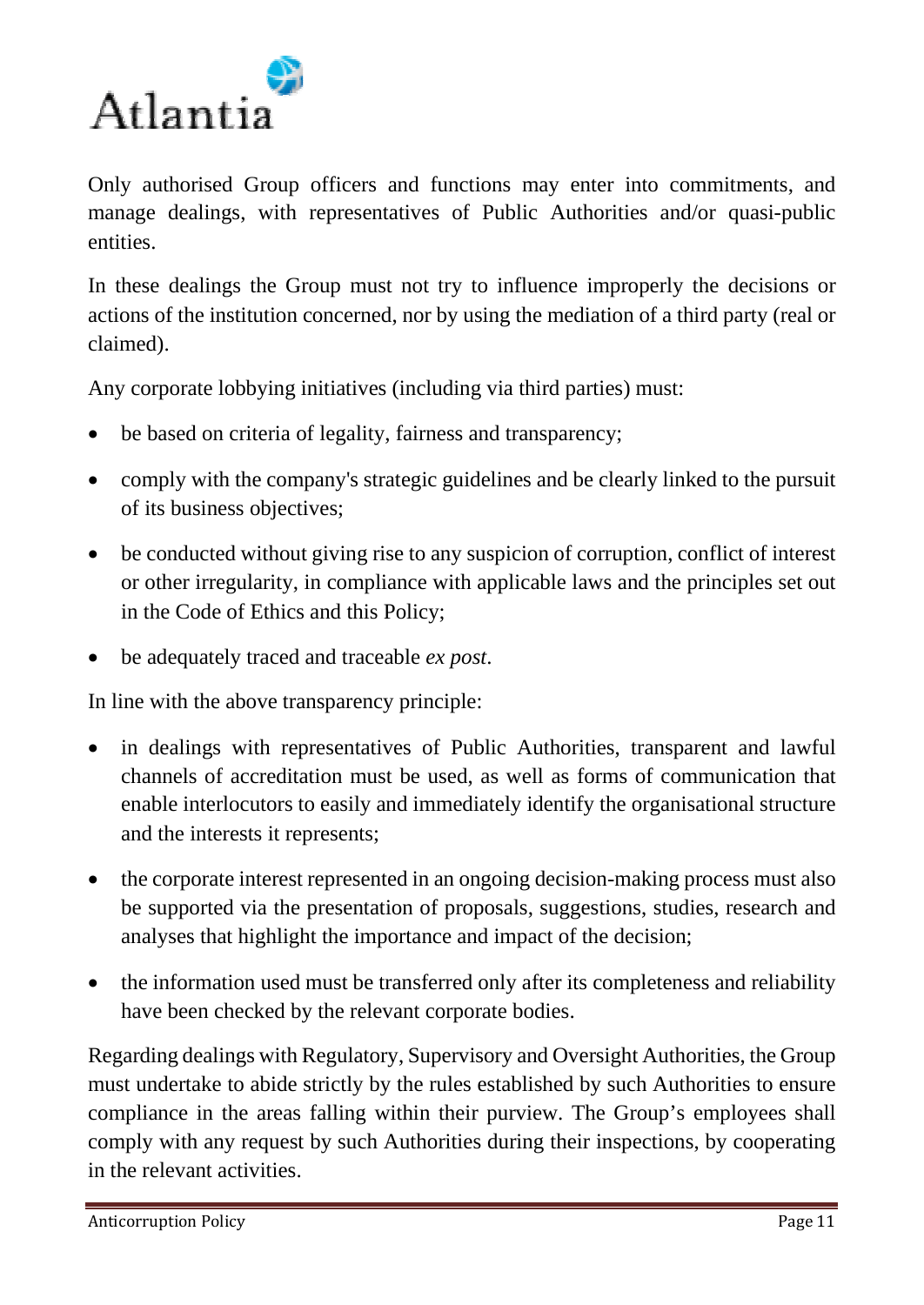

Only authorised Group officers and functions may enter into commitments, and manage dealings, with representatives of Public Authorities and/or quasi-public entities.

In these dealings the Group must not try to influence improperly the decisions or actions of the institution concerned, nor by using the mediation of a third party (real or claimed).

Any corporate lobbying initiatives (including via third parties) must:

- be based on criteria of legality, fairness and transparency;
- comply with the company's strategic guidelines and be clearly linked to the pursuit of its business objectives;
- be conducted without giving rise to any suspicion of corruption, conflict of interest or other irregularity, in compliance with applicable laws and the principles set out in the Code of Ethics and this Policy;
- be adequately traced and traceable *ex post*.

In line with the above transparency principle:

- in dealings with representatives of Public Authorities, transparent and lawful channels of accreditation must be used, as well as forms of communication that enable interlocutors to easily and immediately identify the organisational structure and the interests it represents;
- the corporate interest represented in an ongoing decision-making process must also be supported via the presentation of proposals, suggestions, studies, research and analyses that highlight the importance and impact of the decision;
- the information used must be transferred only after its completeness and reliability have been checked by the relevant corporate bodies.

Regarding dealings with Regulatory, Supervisory and Oversight Authorities, the Group must undertake to abide strictly by the rules established by such Authorities to ensure compliance in the areas falling within their purview. The Group's employees shall comply with any request by such Authorities during their inspections, by cooperating in the relevant activities.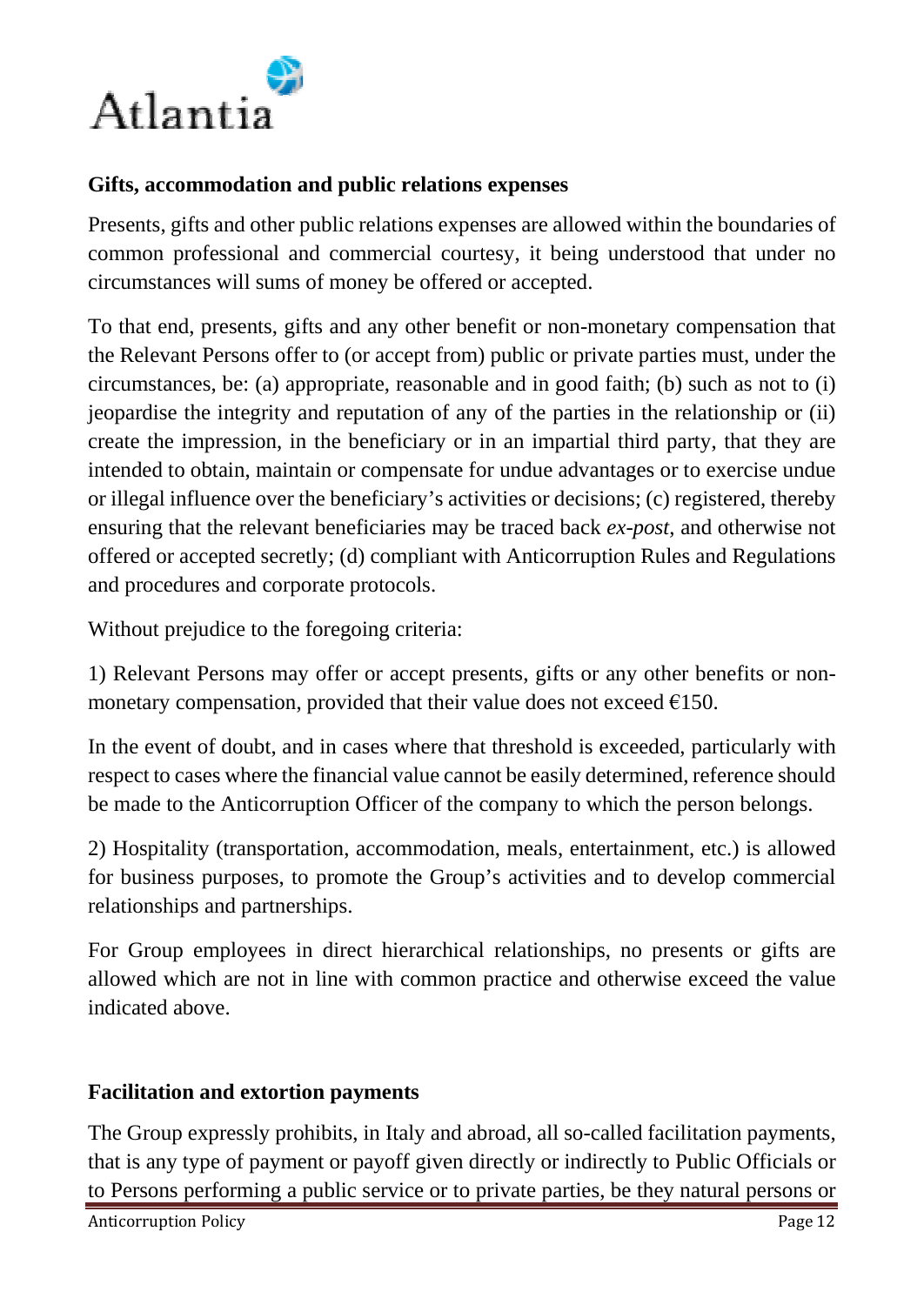

### **Gifts, accommodation and public relations expenses**

Presents, gifts and other public relations expenses are allowed within the boundaries of common professional and commercial courtesy, it being understood that under no circumstances will sums of money be offered or accepted.

To that end, presents, gifts and any other benefit or non-monetary compensation that the Relevant Persons offer to (or accept from) public or private parties must, under the circumstances, be: (a) appropriate, reasonable and in good faith; (b) such as not to (i) jeopardise the integrity and reputation of any of the parties in the relationship or (ii) create the impression, in the beneficiary or in an impartial third party, that they are intended to obtain, maintain or compensate for undue advantages or to exercise undue or illegal influence over the beneficiary's activities or decisions; (c) registered, thereby ensuring that the relevant beneficiaries may be traced back *ex-post*, and otherwise not offered or accepted secretly; (d) compliant with Anticorruption Rules and Regulations and procedures and corporate protocols.

Without prejudice to the foregoing criteria:

1) Relevant Persons may offer or accept presents, gifts or any other benefits or nonmonetary compensation, provided that their value does not exceed  $E150$ .

In the event of doubt, and in cases where that threshold is exceeded, particularly with respect to cases where the financial value cannot be easily determined, reference should be made to the Anticorruption Officer of the company to which the person belongs.

2) Hospitality (transportation, accommodation, meals, entertainment, etc.) is allowed for business purposes, to promote the Group's activities and to develop commercial relationships and partnerships.

For Group employees in direct hierarchical relationships, no presents or gifts are allowed which are not in line with common practice and otherwise exceed the value indicated above.

#### **Facilitation and extortion payments**

The Group expressly prohibits, in Italy and abroad, all so-called facilitation payments, that is any type of payment or payoff given directly or indirectly to Public Officials or to Persons performing a public service or to private parties, be they natural persons or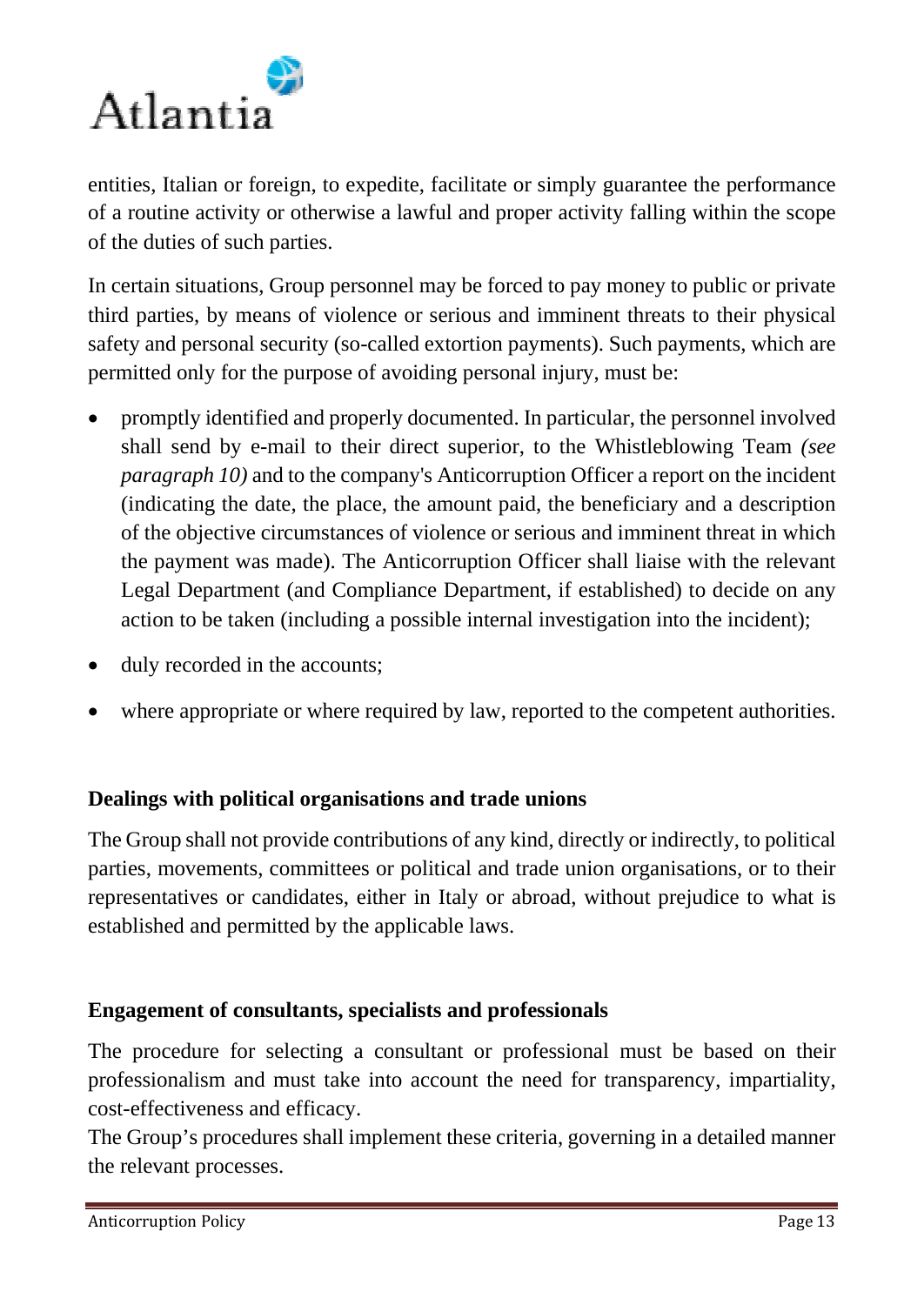

entities, Italian or foreign, to expedite, facilitate or simply guarantee the performance of a routine activity or otherwise a lawful and proper activity falling within the scope of the duties of such parties.

In certain situations, Group personnel may be forced to pay money to public or private third parties, by means of violence or serious and imminent threats to their physical safety and personal security (so-called extortion payments). Such payments, which are permitted only for the purpose of avoiding personal injury, must be:

- promptly identified and properly documented. In particular, the personnel involved shall send by e-mail to their direct superior, to the Whistleblowing Team *(see paragraph 10)* and to the company's Anticorruption Officer a report on the incident (indicating the date, the place, the amount paid, the beneficiary and a description of the objective circumstances of violence or serious and imminent threat in which the payment was made). The Anticorruption Officer shall liaise with the relevant Legal Department (and Compliance Department, if established) to decide on any action to be taken (including a possible internal investigation into the incident);
- duly recorded in the accounts;
- where appropriate or where required by law, reported to the competent authorities.

#### **Dealings with political organisations and trade unions**

The Group shall not provide contributions of any kind, directly or indirectly, to political parties, movements, committees or political and trade union organisations, or to their representatives or candidates, either in Italy or abroad, without prejudice to what is established and permitted by the applicable laws.

#### **Engagement of consultants, specialists and professionals**

The procedure for selecting a consultant or professional must be based on their professionalism and must take into account the need for transparency, impartiality, cost-effectiveness and efficacy.

The Group's procedures shall implement these criteria, governing in a detailed manner the relevant processes.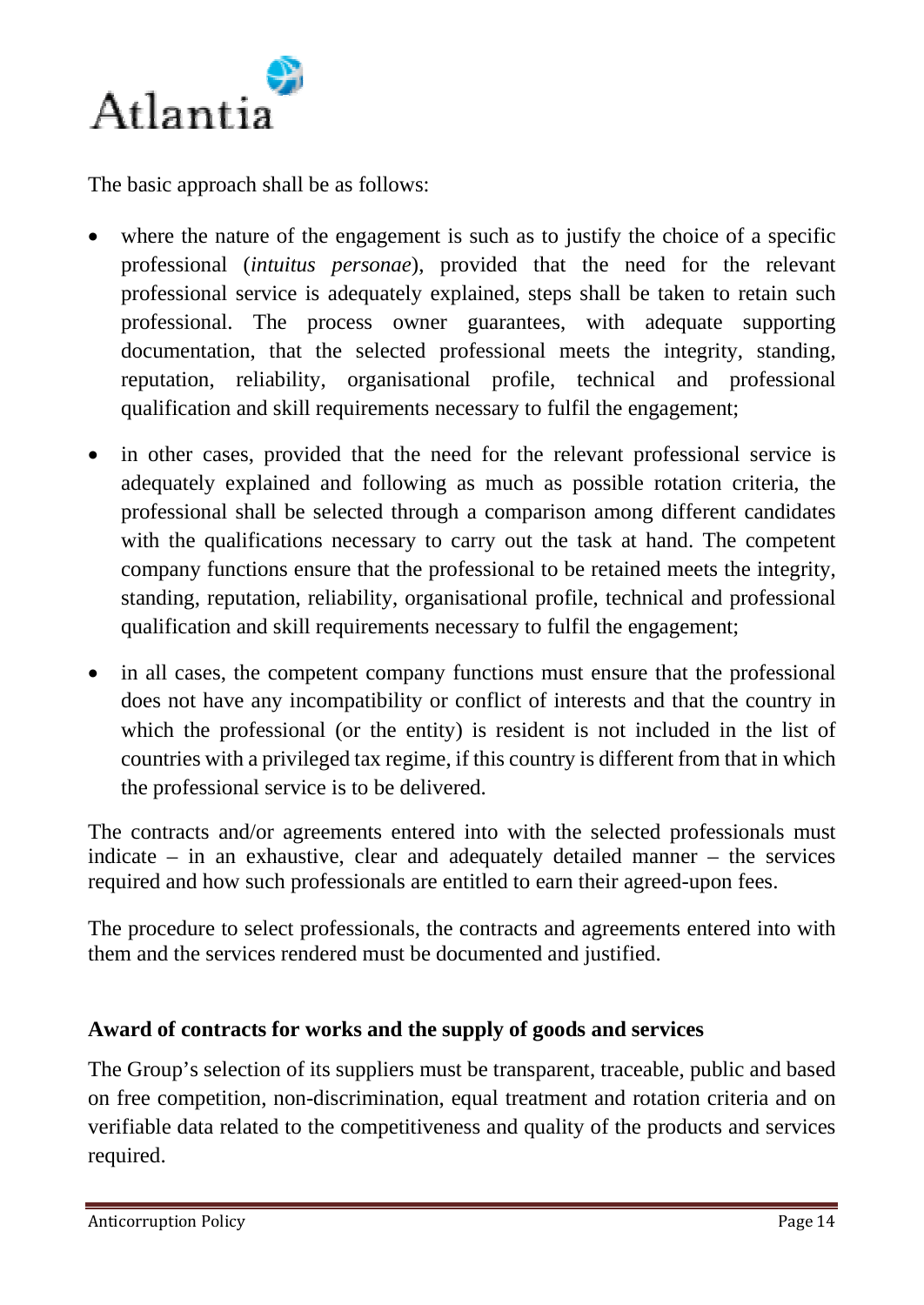

The basic approach shall be as follows:

- where the nature of the engagement is such as to justify the choice of a specific professional (*intuitus personae*), provided that the need for the relevant professional service is adequately explained, steps shall be taken to retain such professional. The process owner guarantees, with adequate supporting documentation, that the selected professional meets the integrity, standing, reputation, reliability, organisational profile, technical and professional qualification and skill requirements necessary to fulfil the engagement;
- in other cases, provided that the need for the relevant professional service is adequately explained and following as much as possible rotation criteria, the professional shall be selected through a comparison among different candidates with the qualifications necessary to carry out the task at hand. The competent company functions ensure that the professional to be retained meets the integrity, standing, reputation, reliability, organisational profile, technical and professional qualification and skill requirements necessary to fulfil the engagement;
- in all cases, the competent company functions must ensure that the professional does not have any incompatibility or conflict of interests and that the country in which the professional (or the entity) is resident is not included in the list of countries with a privileged tax regime, if this country is different from that in which the professional service is to be delivered.

The contracts and/or agreements entered into with the selected professionals must indicate – in an exhaustive, clear and adequately detailed manner – the services required and how such professionals are entitled to earn their agreed-upon fees.

The procedure to select professionals, the contracts and agreements entered into with them and the services rendered must be documented and justified.

## **Award of contracts for works and the supply of goods and services**

The Group's selection of its suppliers must be transparent, traceable, public and based on free competition, non-discrimination, equal treatment and rotation criteria and on verifiable data related to the competitiveness and quality of the products and services required.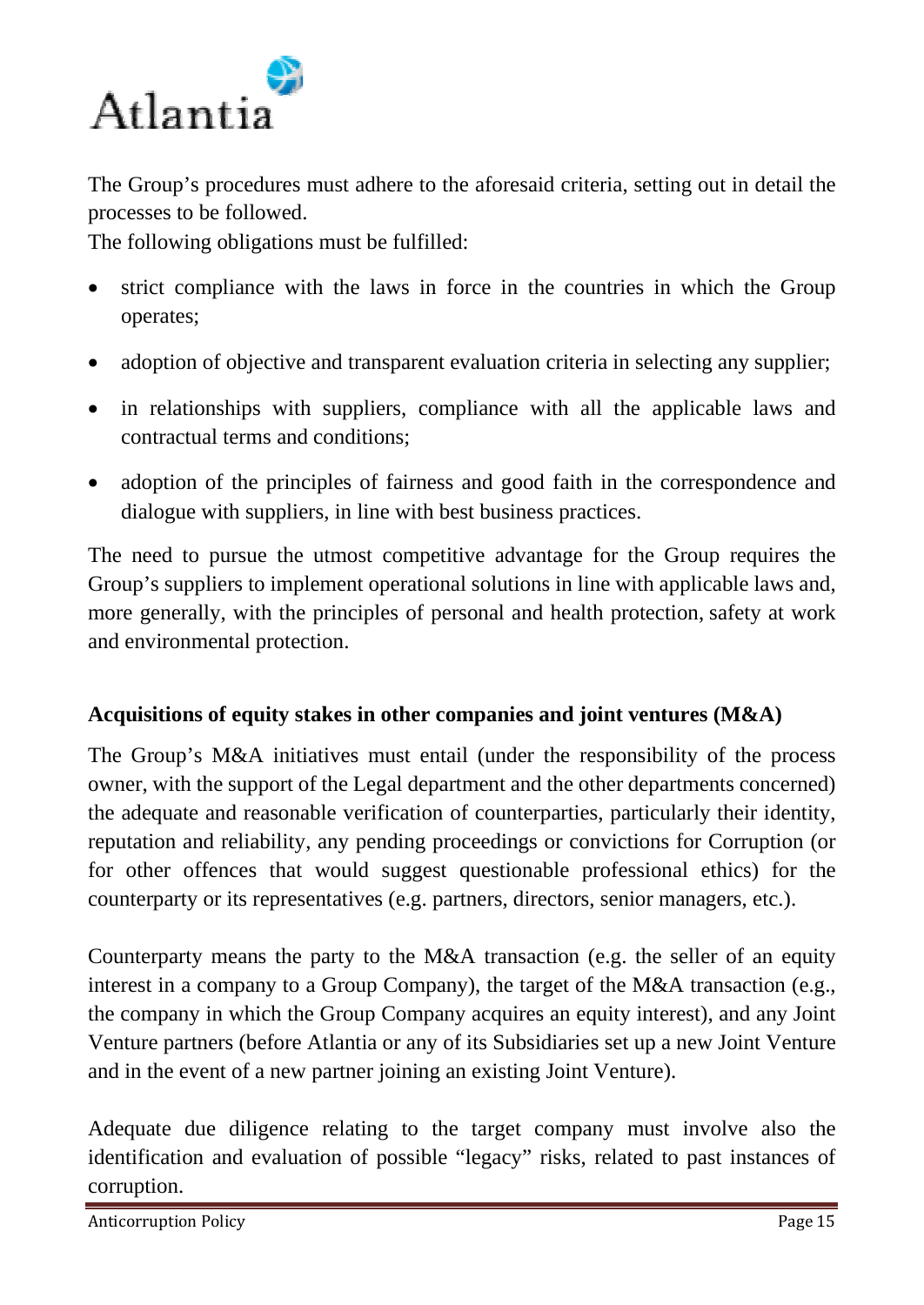

The Group's procedures must adhere to the aforesaid criteria, setting out in detail the processes to be followed.

The following obligations must be fulfilled:

- strict compliance with the laws in force in the countries in which the Group operates;
- adoption of objective and transparent evaluation criteria in selecting any supplier;
- in relationships with suppliers, compliance with all the applicable laws and contractual terms and conditions;
- adoption of the principles of fairness and good faith in the correspondence and dialogue with suppliers, in line with best business practices.

The need to pursue the utmost competitive advantage for the Group requires the Group's suppliers to implement operational solutions in line with applicable laws and, more generally, with the principles of personal and health protection, safety at work and environmental protection.

## **Acquisitions of equity stakes in other companies and joint ventures (M&A)**

The Group's M&A initiatives must entail (under the responsibility of the process owner, with the support of the Legal department and the other departments concerned) the adequate and reasonable verification of counterparties, particularly their identity, reputation and reliability, any pending proceedings or convictions for Corruption (or for other offences that would suggest questionable professional ethics) for the counterparty or its representatives (e.g. partners, directors, senior managers, etc.).

Counterparty means the party to the M&A transaction (e.g. the seller of an equity interest in a company to a Group Company), the target of the M&A transaction (e.g., the company in which the Group Company acquires an equity interest), and any Joint Venture partners (before Atlantia or any of its Subsidiaries set up a new Joint Venture and in the event of a new partner joining an existing Joint Venture).

Adequate due diligence relating to the target company must involve also the identification and evaluation of possible "legacy" risks, related to past instances of corruption.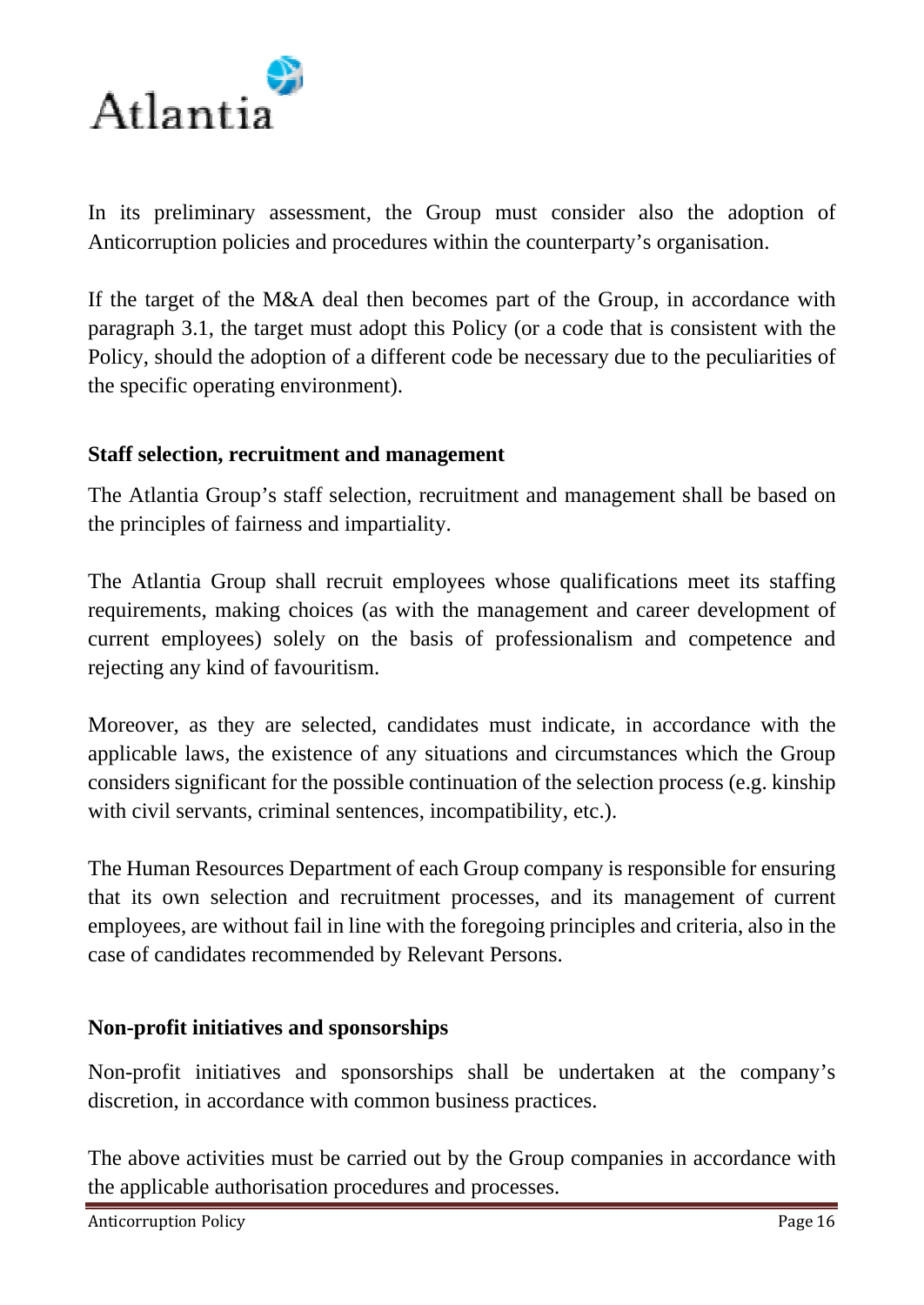

In its preliminary assessment, the Group must consider also the adoption of Anticorruption policies and procedures within the counterparty's organisation.

If the target of the M&A deal then becomes part of the Group, in accordance with paragraph 3.1, the target must adopt this Policy (or a code that is consistent with the Policy, should the adoption of a different code be necessary due to the peculiarities of the specific operating environment).

#### **Staff selection, recruitment and management**

The Atlantia Group's staff selection, recruitment and management shall be based on the principles of fairness and impartiality.

The Atlantia Group shall recruit employees whose qualifications meet its staffing requirements, making choices (as with the management and career development of current employees) solely on the basis of professionalism and competence and rejecting any kind of favouritism.

Moreover, as they are selected, candidates must indicate, in accordance with the applicable laws, the existence of any situations and circumstances which the Group considers significant for the possible continuation of the selection process (e.g. kinship with civil servants, criminal sentences, incompatibility, etc.).

The Human Resources Department of each Group company is responsible for ensuring that its own selection and recruitment processes, and its management of current employees, are without fail in line with the foregoing principles and criteria, also in the case of candidates recommended by Relevant Persons.

#### **Non-profit initiatives and sponsorships**

Non-profit initiatives and sponsorships shall be undertaken at the company's discretion, in accordance with common business practices.

The above activities must be carried out by the Group companies in accordance with the applicable authorisation procedures and processes.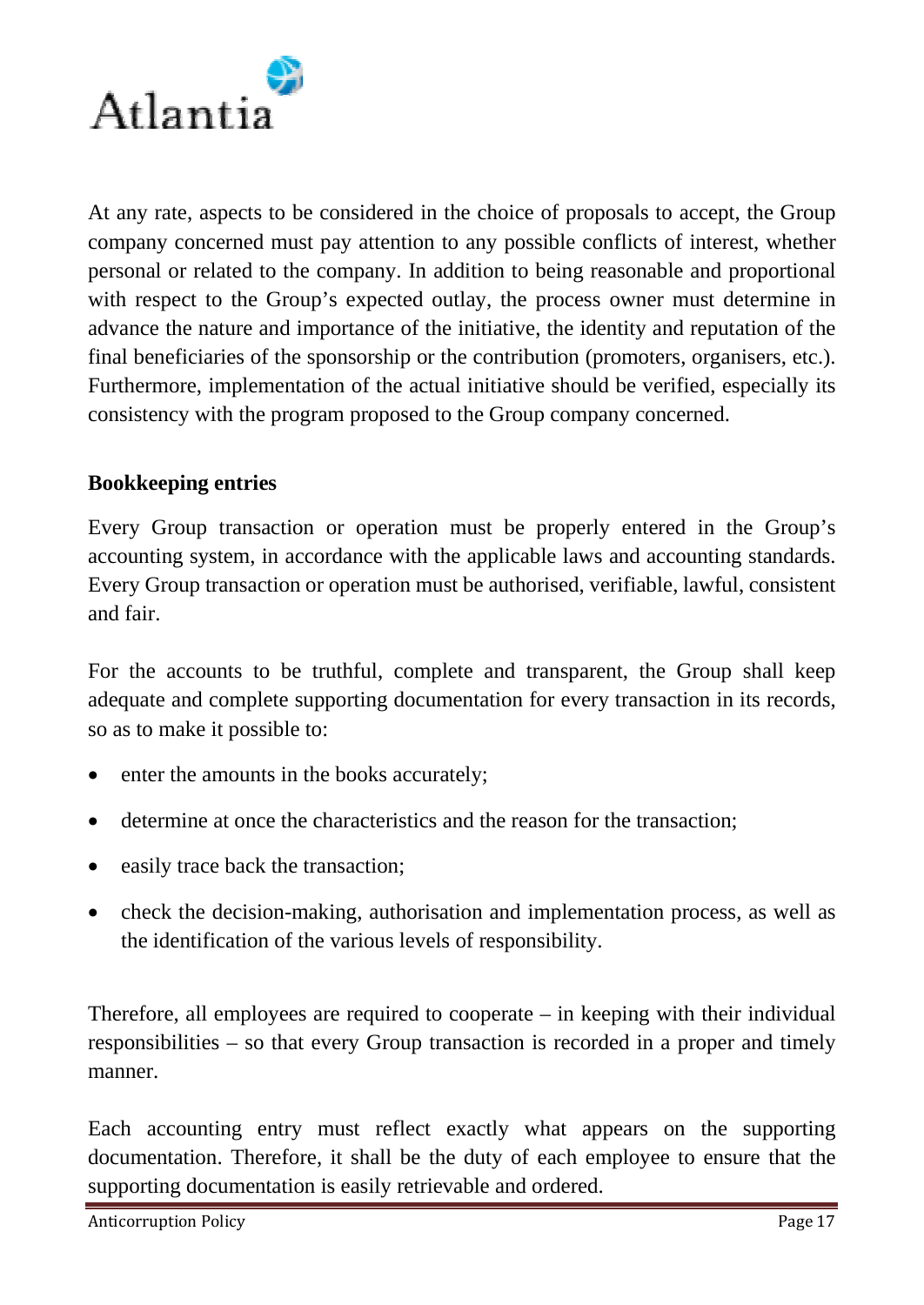

At any rate, aspects to be considered in the choice of proposals to accept, the Group company concerned must pay attention to any possible conflicts of interest, whether personal or related to the company. In addition to being reasonable and proportional with respect to the Group's expected outlay, the process owner must determine in advance the nature and importance of the initiative, the identity and reputation of the final beneficiaries of the sponsorship or the contribution (promoters, organisers, etc.). Furthermore, implementation of the actual initiative should be verified, especially its consistency with the program proposed to the Group company concerned.

#### **Bookkeeping entries**

Every Group transaction or operation must be properly entered in the Group's accounting system, in accordance with the applicable laws and accounting standards. Every Group transaction or operation must be authorised, verifiable, lawful, consistent and fair.

For the accounts to be truthful, complete and transparent, the Group shall keep adequate and complete supporting documentation for every transaction in its records, so as to make it possible to:

- enter the amounts in the books accurately;
- determine at once the characteristics and the reason for the transaction;
- easily trace back the transaction;
- check the decision-making, authorisation and implementation process, as well as the identification of the various levels of responsibility.

Therefore, all employees are required to cooperate – in keeping with their individual responsibilities – so that every Group transaction is recorded in a proper and timely manner.

Each accounting entry must reflect exactly what appears on the supporting documentation. Therefore, it shall be the duty of each employee to ensure that the supporting documentation is easily retrievable and ordered.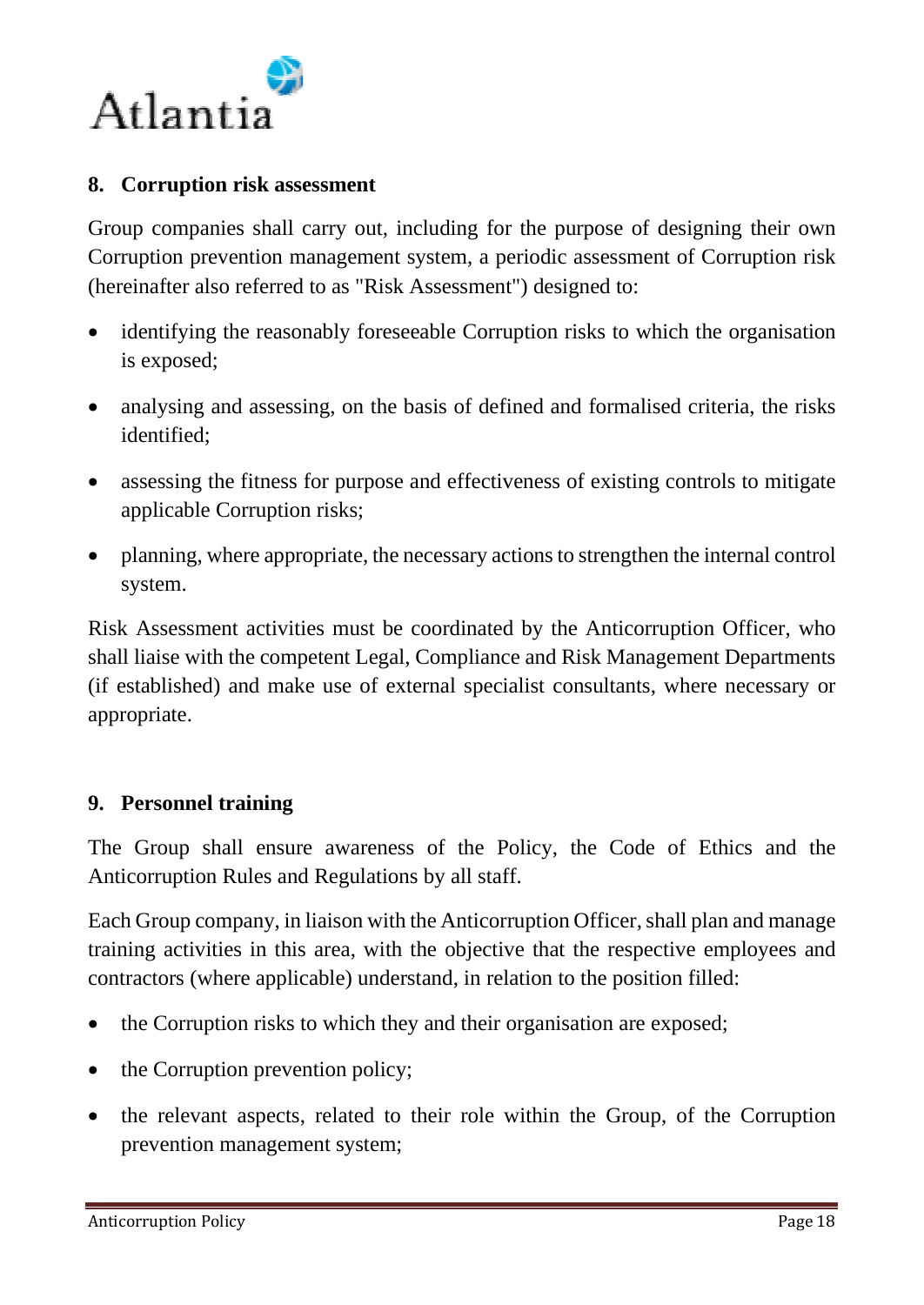

#### **8. Corruption risk assessment**

Group companies shall carry out, including for the purpose of designing their own Corruption prevention management system, a periodic assessment of Corruption risk (hereinafter also referred to as "Risk Assessment") designed to:

- identifying the reasonably foreseeable Corruption risks to which the organisation is exposed;
- analysing and assessing, on the basis of defined and formalised criteria, the risks identified;
- assessing the fitness for purpose and effectiveness of existing controls to mitigate applicable Corruption risks;
- planning, where appropriate, the necessary actions to strengthen the internal control system.

Risk Assessment activities must be coordinated by the Anticorruption Officer, who shall liaise with the competent Legal, Compliance and Risk Management Departments (if established) and make use of external specialist consultants, where necessary or appropriate.

#### **9. Personnel training**

The Group shall ensure awareness of the Policy, the Code of Ethics and the Anticorruption Rules and Regulations by all staff.

Each Group company, in liaison with the Anticorruption Officer, shall plan and manage training activities in this area, with the objective that the respective employees and contractors (where applicable) understand, in relation to the position filled:

- the Corruption risks to which they and their organisation are exposed;
- the Corruption prevention policy;
- the relevant aspects, related to their role within the Group, of the Corruption prevention management system;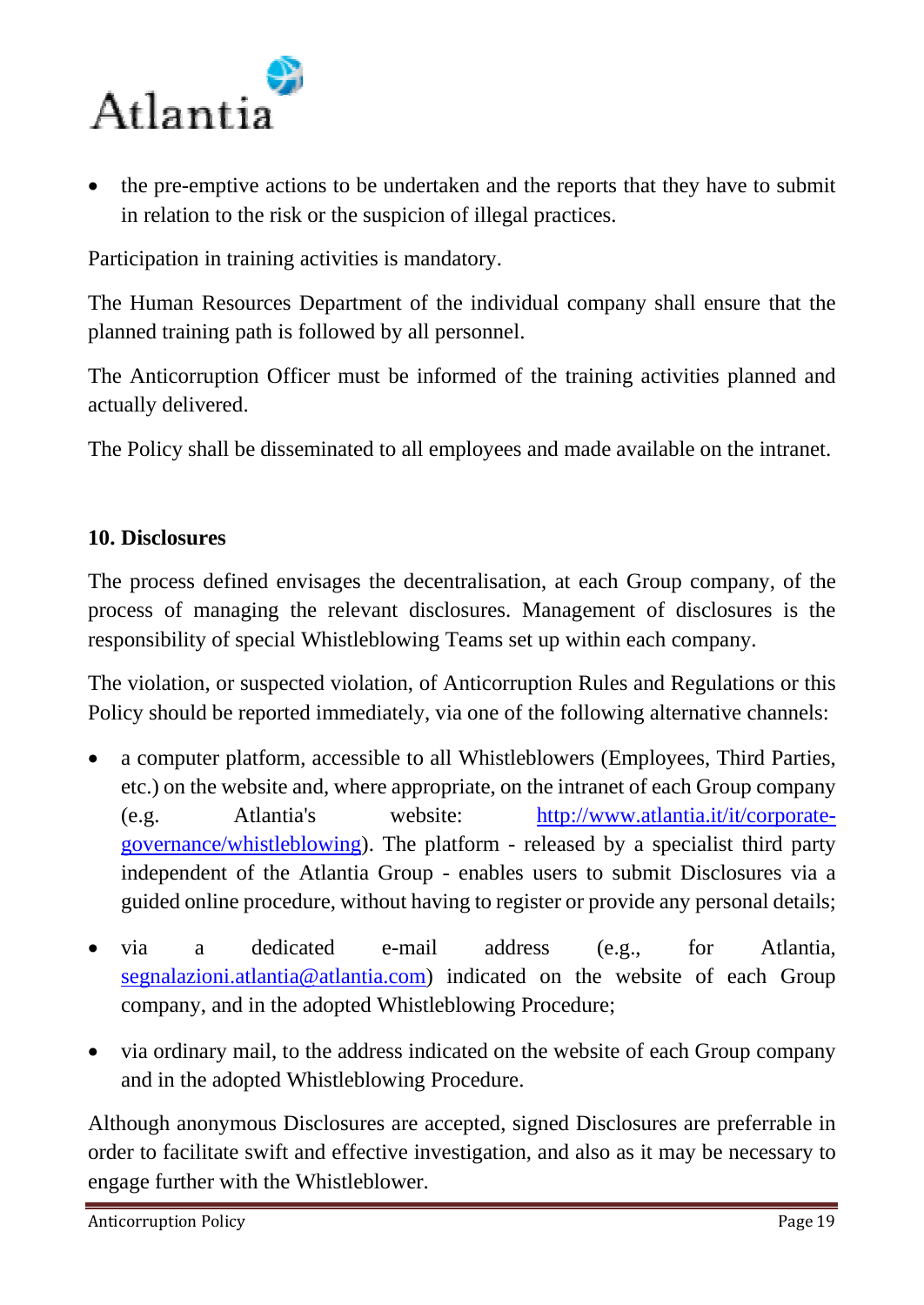

• the pre-emptive actions to be undertaken and the reports that they have to submit in relation to the risk or the suspicion of illegal practices.

Participation in training activities is mandatory.

The Human Resources Department of the individual company shall ensure that the planned training path is followed by all personnel.

The Anticorruption Officer must be informed of the training activities planned and actually delivered.

The Policy shall be disseminated to all employees and made available on the intranet.

### **10. Disclosures**

The process defined envisages the decentralisation, at each Group company, of the process of managing the relevant disclosures. Management of disclosures is the responsibility of special Whistleblowing Teams set up within each company.

The violation, or suspected violation, of Anticorruption Rules and Regulations or this Policy should be reported immediately, via one of the following alternative channels:

- a computer platform, accessible to all Whistleblowers (Employees, Third Parties, etc.) on the website and, where appropriate, on the intranet of each Group company (e.g. Atlantia's website: [http://www.atlantia.it/it/corporate](http://www.atlantia.it/it/corporate-governance/whistleblowing)[governance/whistleblowing\)](http://www.atlantia.it/it/corporate-governance/whistleblowing). The platform - released by a specialist third party independent of the Atlantia Group - enables users to submit Disclosures via a guided online procedure, without having to register or provide any personal details;
- via a dedicated e-mail address (e.g., for Atlantia, [segnalazioni.atlantia@atlantia.com\)](mailto:segnalazioni.atlantia@atlantia.com) indicated on the website of each Group company, and in the adopted Whistleblowing Procedure;
- via ordinary mail, to the address indicated on the website of each Group company and in the adopted Whistleblowing Procedure.

Although anonymous Disclosures are accepted, signed Disclosures are preferrable in order to facilitate swift and effective investigation, and also as it may be necessary to engage further with the Whistleblower.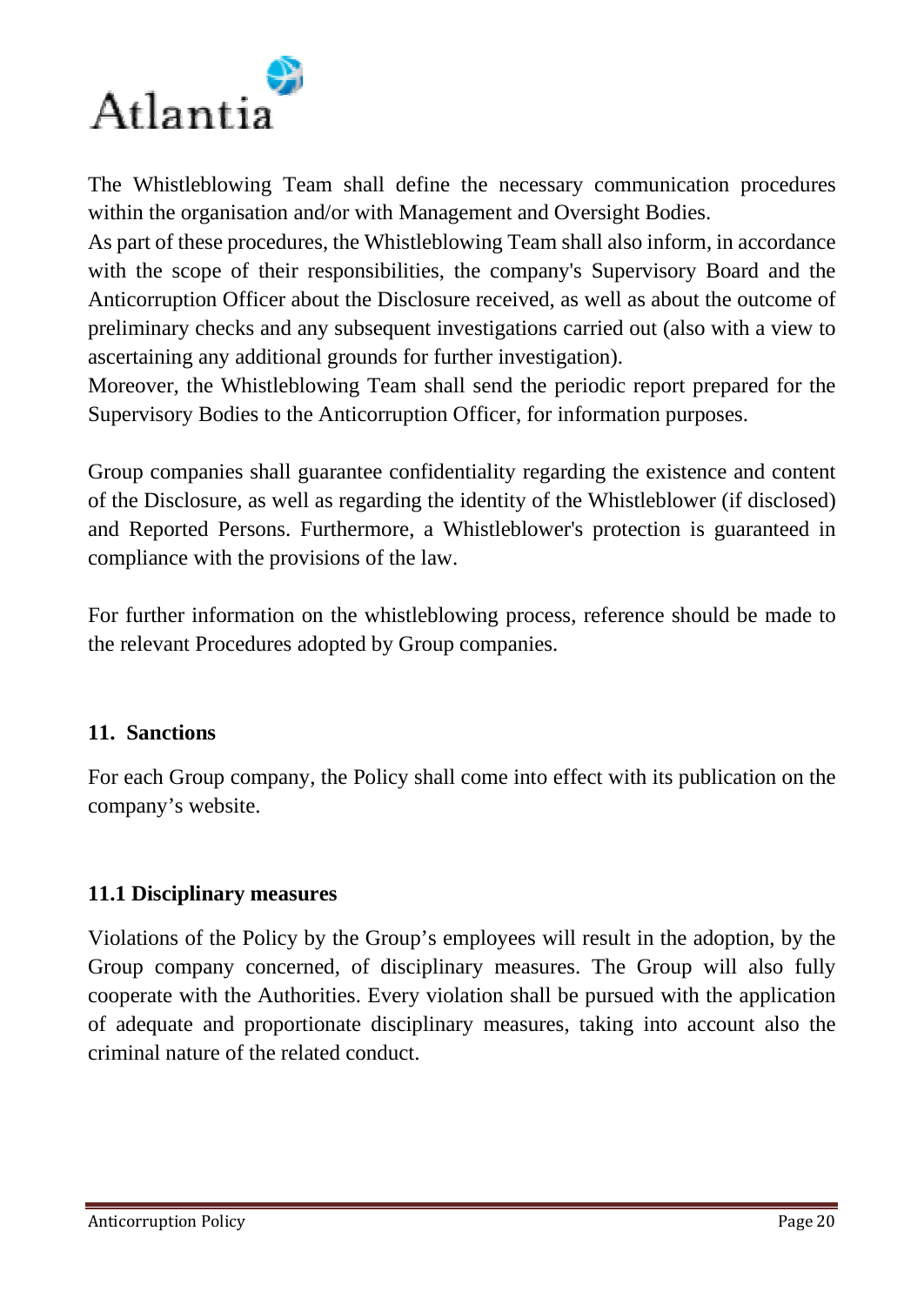

The Whistleblowing Team shall define the necessary communication procedures within the organisation and/or with Management and Oversight Bodies.

As part of these procedures, the Whistleblowing Team shall also inform, in accordance with the scope of their responsibilities, the company's Supervisory Board and the Anticorruption Officer about the Disclosure received, as well as about the outcome of preliminary checks and any subsequent investigations carried out (also with a view to ascertaining any additional grounds for further investigation).

Moreover, the Whistleblowing Team shall send the periodic report prepared for the Supervisory Bodies to the Anticorruption Officer, for information purposes.

Group companies shall guarantee confidentiality regarding the existence and content of the Disclosure, as well as regarding the identity of the Whistleblower (if disclosed) and Reported Persons. Furthermore, a Whistleblower's protection is guaranteed in compliance with the provisions of the law.

For further information on the whistleblowing process, reference should be made to the relevant Procedures adopted by Group companies.

#### **11. Sanctions**

For each Group company, the Policy shall come into effect with its publication on the company's website.

## **11.1 Disciplinary measures**

Violations of the Policy by the Group's employees will result in the adoption, by the Group company concerned, of disciplinary measures. The Group will also fully cooperate with the Authorities. Every violation shall be pursued with the application of adequate and proportionate disciplinary measures, taking into account also the criminal nature of the related conduct.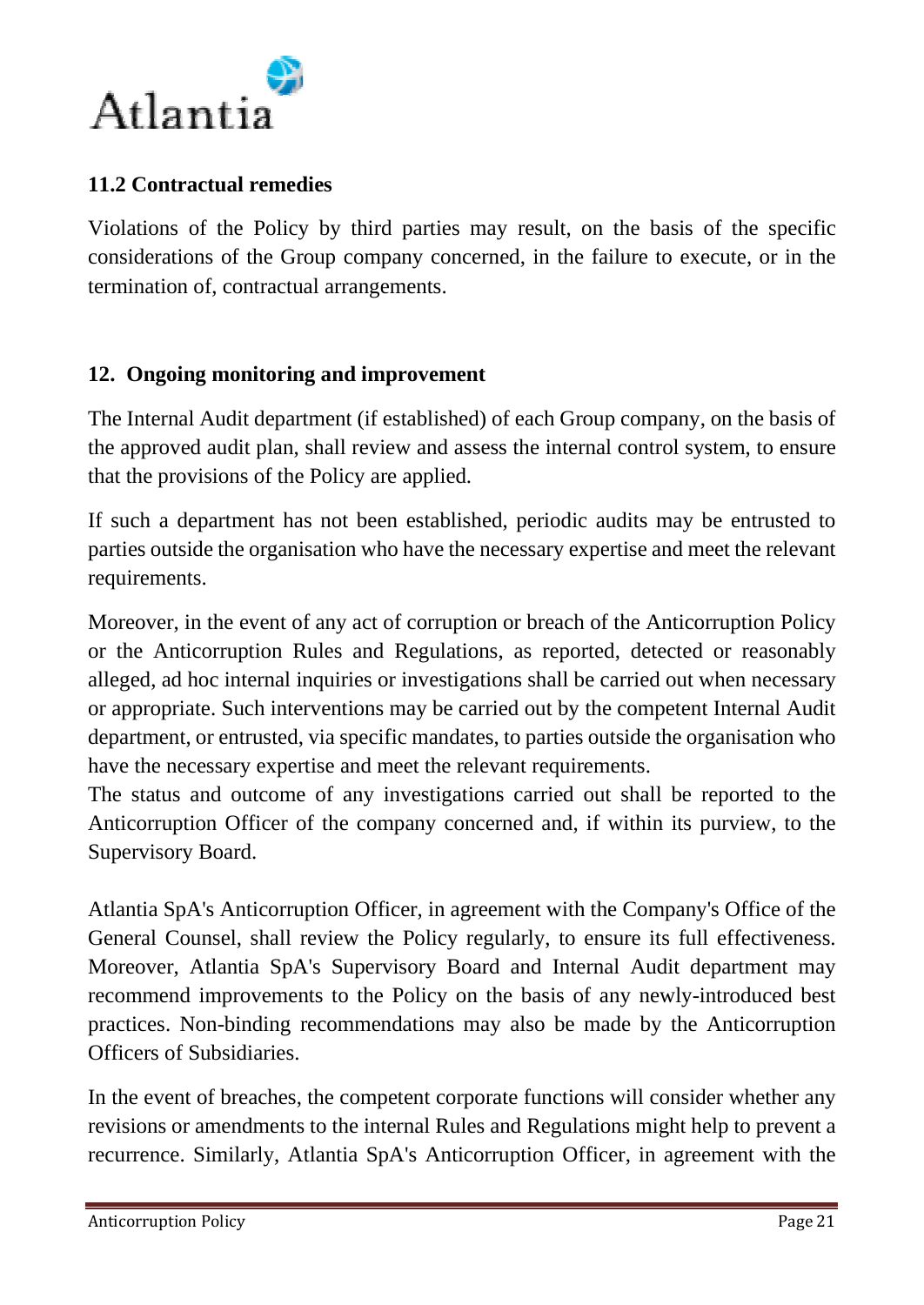

## **11.2 Contractual remedies**

Violations of the Policy by third parties may result, on the basis of the specific considerations of the Group company concerned, in the failure to execute, or in the termination of, contractual arrangements.

## **12. Ongoing monitoring and improvement**

The Internal Audit department (if established) of each Group company, on the basis of the approved audit plan, shall review and assess the internal control system, to ensure that the provisions of the Policy are applied.

If such a department has not been established, periodic audits may be entrusted to parties outside the organisation who have the necessary expertise and meet the relevant requirements.

Moreover, in the event of any act of corruption or breach of the Anticorruption Policy or the Anticorruption Rules and Regulations, as reported, detected or reasonably alleged, ad hoc internal inquiries or investigations shall be carried out when necessary or appropriate. Such interventions may be carried out by the competent Internal Audit department, or entrusted, via specific mandates, to parties outside the organisation who have the necessary expertise and meet the relevant requirements.

The status and outcome of any investigations carried out shall be reported to the Anticorruption Officer of the company concerned and, if within its purview, to the Supervisory Board.

Atlantia SpA's Anticorruption Officer, in agreement with the Company's Office of the General Counsel, shall review the Policy regularly, to ensure its full effectiveness. Moreover, Atlantia SpA's Supervisory Board and Internal Audit department may recommend improvements to the Policy on the basis of any newly-introduced best practices. Non-binding recommendations may also be made by the Anticorruption Officers of Subsidiaries.

In the event of breaches, the competent corporate functions will consider whether any revisions or amendments to the internal Rules and Regulations might help to prevent a recurrence. Similarly, Atlantia SpA's Anticorruption Officer, in agreement with the